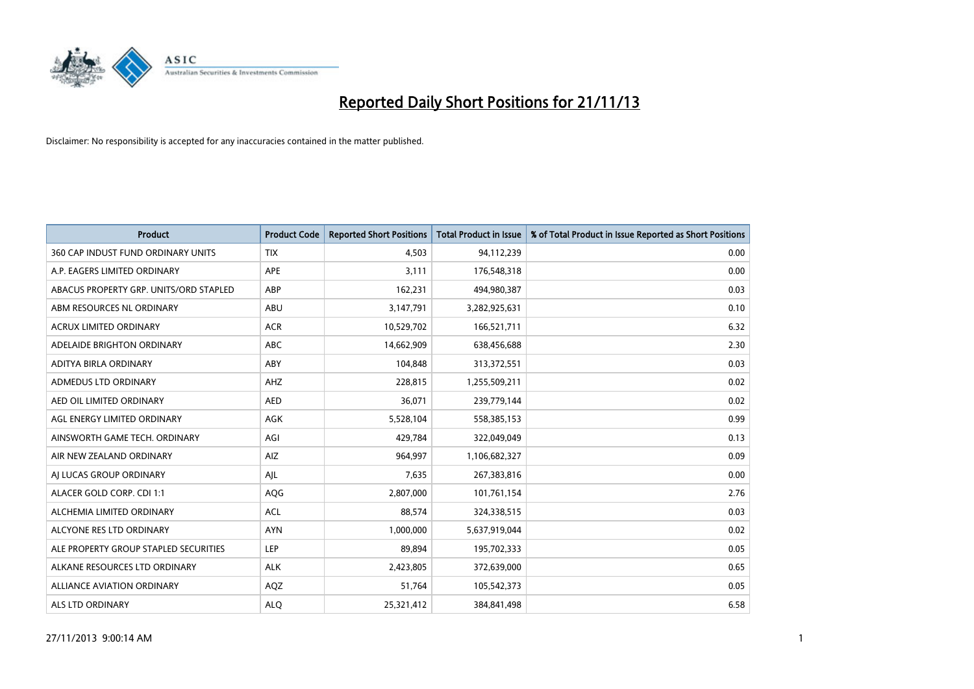

| <b>Product</b>                         | <b>Product Code</b> | <b>Reported Short Positions</b> | <b>Total Product in Issue</b> | % of Total Product in Issue Reported as Short Positions |
|----------------------------------------|---------------------|---------------------------------|-------------------------------|---------------------------------------------------------|
| 360 CAP INDUST FUND ORDINARY UNITS     | <b>TIX</b>          | 4,503                           | 94,112,239                    | 0.00                                                    |
| A.P. EAGERS LIMITED ORDINARY           | APE                 | 3,111                           | 176,548,318                   | 0.00                                                    |
| ABACUS PROPERTY GRP. UNITS/ORD STAPLED | ABP                 | 162,231                         | 494,980,387                   | 0.03                                                    |
| ABM RESOURCES NL ORDINARY              | ABU                 | 3,147,791                       | 3,282,925,631                 | 0.10                                                    |
| <b>ACRUX LIMITED ORDINARY</b>          | <b>ACR</b>          | 10,529,702                      | 166,521,711                   | 6.32                                                    |
| ADELAIDE BRIGHTON ORDINARY             | <b>ABC</b>          | 14,662,909                      | 638,456,688                   | 2.30                                                    |
| ADITYA BIRLA ORDINARY                  | <b>ABY</b>          | 104,848                         | 313,372,551                   | 0.03                                                    |
| ADMEDUS LTD ORDINARY                   | AHZ                 | 228,815                         | 1,255,509,211                 | 0.02                                                    |
| AED OIL LIMITED ORDINARY               | <b>AED</b>          | 36,071                          | 239,779,144                   | 0.02                                                    |
| AGL ENERGY LIMITED ORDINARY            | <b>AGK</b>          | 5,528,104                       | 558,385,153                   | 0.99                                                    |
| AINSWORTH GAME TECH. ORDINARY          | AGI                 | 429,784                         | 322,049,049                   | 0.13                                                    |
| AIR NEW ZEALAND ORDINARY               | AIZ.                | 964,997                         | 1,106,682,327                 | 0.09                                                    |
| AI LUCAS GROUP ORDINARY                | AJL                 | 7,635                           | 267,383,816                   | 0.00                                                    |
| ALACER GOLD CORP. CDI 1:1              | AQG                 | 2,807,000                       | 101,761,154                   | 2.76                                                    |
| ALCHEMIA LIMITED ORDINARY              | <b>ACL</b>          | 88,574                          | 324,338,515                   | 0.03                                                    |
| ALCYONE RES LTD ORDINARY               | <b>AYN</b>          | 1,000,000                       | 5,637,919,044                 | 0.02                                                    |
| ALE PROPERTY GROUP STAPLED SECURITIES  | <b>LEP</b>          | 89,894                          | 195,702,333                   | 0.05                                                    |
| ALKANE RESOURCES LTD ORDINARY          | <b>ALK</b>          | 2,423,805                       | 372,639,000                   | 0.65                                                    |
| <b>ALLIANCE AVIATION ORDINARY</b>      | AQZ                 | 51,764                          | 105,542,373                   | 0.05                                                    |
| ALS LTD ORDINARY                       | <b>ALO</b>          | 25,321,412                      | 384, 841, 498                 | 6.58                                                    |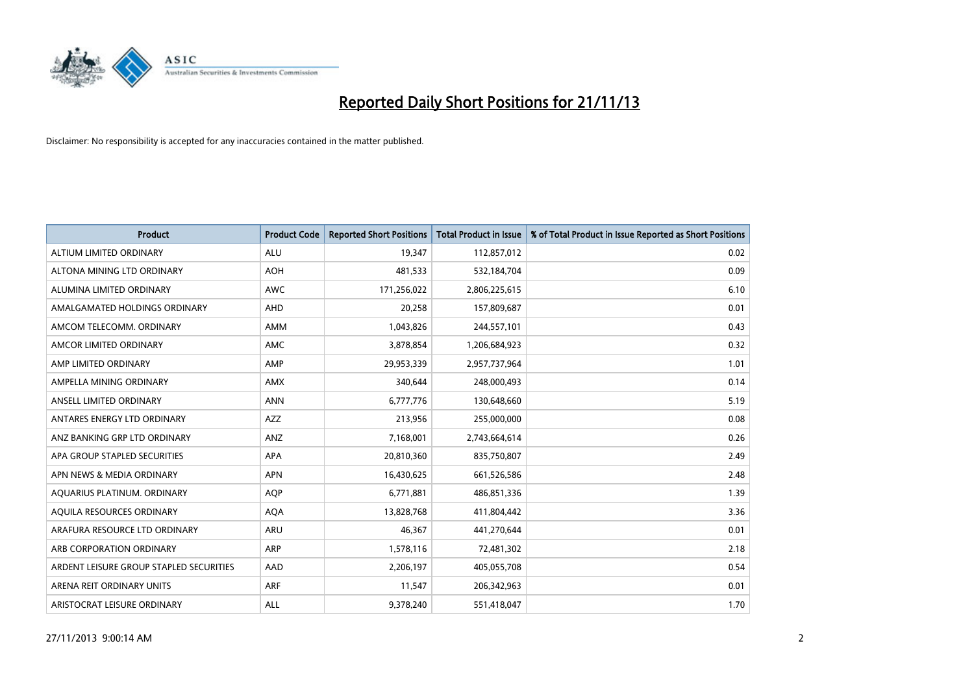

| <b>Product</b>                          | <b>Product Code</b> | <b>Reported Short Positions</b> | <b>Total Product in Issue</b> | % of Total Product in Issue Reported as Short Positions |
|-----------------------------------------|---------------------|---------------------------------|-------------------------------|---------------------------------------------------------|
| ALTIUM LIMITED ORDINARY                 | <b>ALU</b>          | 19,347                          | 112,857,012                   | 0.02                                                    |
| ALTONA MINING LTD ORDINARY              | <b>AOH</b>          | 481,533                         | 532,184,704                   | 0.09                                                    |
| ALUMINA LIMITED ORDINARY                | <b>AWC</b>          | 171,256,022                     | 2,806,225,615                 | 6.10                                                    |
| AMALGAMATED HOLDINGS ORDINARY           | AHD                 | 20,258                          | 157,809,687                   | 0.01                                                    |
| AMCOM TELECOMM, ORDINARY                | AMM                 | 1,043,826                       | 244,557,101                   | 0.43                                                    |
| AMCOR LIMITED ORDINARY                  | AMC                 | 3,878,854                       | 1,206,684,923                 | 0.32                                                    |
| AMP LIMITED ORDINARY                    | AMP                 | 29,953,339                      | 2,957,737,964                 | 1.01                                                    |
| AMPELLA MINING ORDINARY                 | AMX                 | 340,644                         | 248,000,493                   | 0.14                                                    |
| ANSELL LIMITED ORDINARY                 | <b>ANN</b>          | 6,777,776                       | 130,648,660                   | 5.19                                                    |
| ANTARES ENERGY LTD ORDINARY             | AZZ                 | 213,956                         | 255,000,000                   | 0.08                                                    |
| ANZ BANKING GRP LTD ORDINARY            | ANZ                 | 7,168,001                       | 2,743,664,614                 | 0.26                                                    |
| APA GROUP STAPLED SECURITIES            | APA                 | 20,810,360                      | 835,750,807                   | 2.49                                                    |
| APN NEWS & MEDIA ORDINARY               | <b>APN</b>          | 16,430,625                      | 661,526,586                   | 2.48                                                    |
| AQUARIUS PLATINUM. ORDINARY             | AQP                 | 6,771,881                       | 486,851,336                   | 1.39                                                    |
| AQUILA RESOURCES ORDINARY               | <b>AQA</b>          | 13,828,768                      | 411,804,442                   | 3.36                                                    |
| ARAFURA RESOURCE LTD ORDINARY           | ARU                 | 46,367                          | 441,270,644                   | 0.01                                                    |
| ARB CORPORATION ORDINARY                | ARP                 | 1,578,116                       | 72,481,302                    | 2.18                                                    |
| ARDENT LEISURE GROUP STAPLED SECURITIES | AAD                 | 2,206,197                       | 405,055,708                   | 0.54                                                    |
| ARENA REIT ORDINARY UNITS               | <b>ARF</b>          | 11,547                          | 206,342,963                   | 0.01                                                    |
| ARISTOCRAT LEISURE ORDINARY             | ALL                 | 9,378,240                       | 551,418,047                   | 1.70                                                    |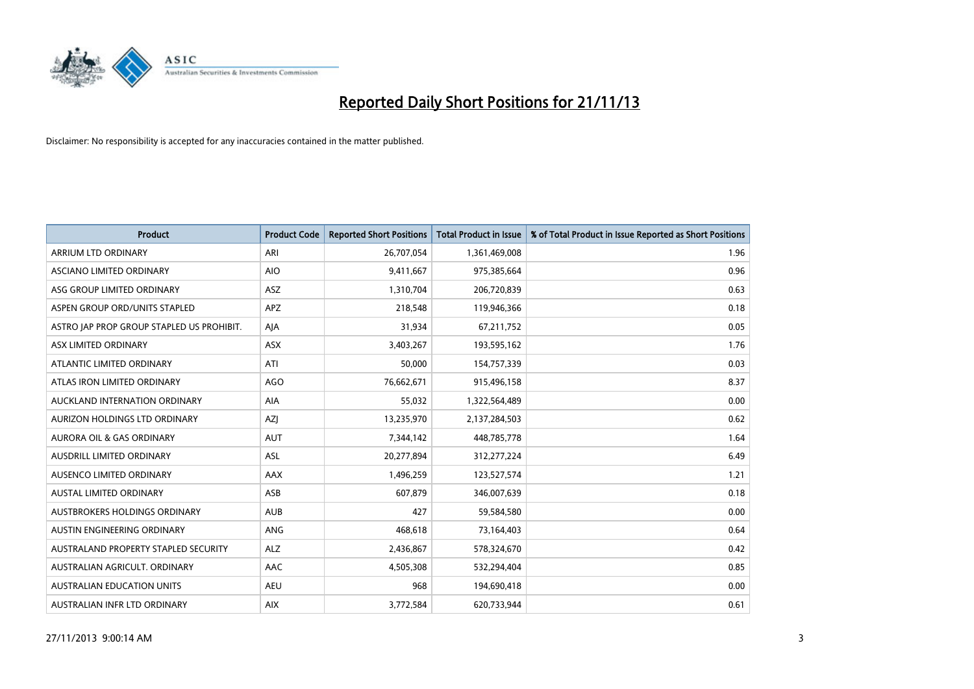

| <b>Product</b>                            | <b>Product Code</b> | <b>Reported Short Positions</b> | <b>Total Product in Issue</b> | % of Total Product in Issue Reported as Short Positions |
|-------------------------------------------|---------------------|---------------------------------|-------------------------------|---------------------------------------------------------|
| <b>ARRIUM LTD ORDINARY</b>                | ARI                 | 26,707,054                      | 1,361,469,008                 | 1.96                                                    |
| ASCIANO LIMITED ORDINARY                  | <b>AIO</b>          | 9,411,667                       | 975,385,664                   | 0.96                                                    |
| ASG GROUP LIMITED ORDINARY                | ASZ                 | 1,310,704                       | 206,720,839                   | 0.63                                                    |
| ASPEN GROUP ORD/UNITS STAPLED             | <b>APZ</b>          | 218,548                         | 119,946,366                   | 0.18                                                    |
| ASTRO JAP PROP GROUP STAPLED US PROHIBIT. | AJA                 | 31,934                          | 67,211,752                    | 0.05                                                    |
| ASX LIMITED ORDINARY                      | ASX                 | 3,403,267                       | 193,595,162                   | 1.76                                                    |
| ATLANTIC LIMITED ORDINARY                 | ATI                 | 50,000                          | 154,757,339                   | 0.03                                                    |
| ATLAS IRON LIMITED ORDINARY               | <b>AGO</b>          | 76,662,671                      | 915,496,158                   | 8.37                                                    |
| AUCKLAND INTERNATION ORDINARY             | AIA                 | 55,032                          | 1,322,564,489                 | 0.00                                                    |
| AURIZON HOLDINGS LTD ORDINARY             | <b>AZI</b>          | 13,235,970                      | 2,137,284,503                 | 0.62                                                    |
| AURORA OIL & GAS ORDINARY                 | AUT                 | 7,344,142                       | 448,785,778                   | 1.64                                                    |
| <b>AUSDRILL LIMITED ORDINARY</b>          | <b>ASL</b>          | 20,277,894                      | 312,277,224                   | 6.49                                                    |
| AUSENCO LIMITED ORDINARY                  | AAX                 | 1,496,259                       | 123,527,574                   | 1.21                                                    |
| <b>AUSTAL LIMITED ORDINARY</b>            | ASB                 | 607,879                         | 346,007,639                   | 0.18                                                    |
| AUSTBROKERS HOLDINGS ORDINARY             | <b>AUB</b>          | 427                             | 59,584,580                    | 0.00                                                    |
| AUSTIN ENGINEERING ORDINARY               | ANG                 | 468,618                         | 73,164,403                    | 0.64                                                    |
| AUSTRALAND PROPERTY STAPLED SECURITY      | <b>ALZ</b>          | 2,436,867                       | 578,324,670                   | 0.42                                                    |
| AUSTRALIAN AGRICULT, ORDINARY             | AAC                 | 4,505,308                       | 532,294,404                   | 0.85                                                    |
| <b>AUSTRALIAN EDUCATION UNITS</b>         | <b>AEU</b>          | 968                             | 194,690,418                   | 0.00                                                    |
| AUSTRALIAN INFR LTD ORDINARY              | <b>AIX</b>          | 3,772,584                       | 620,733,944                   | 0.61                                                    |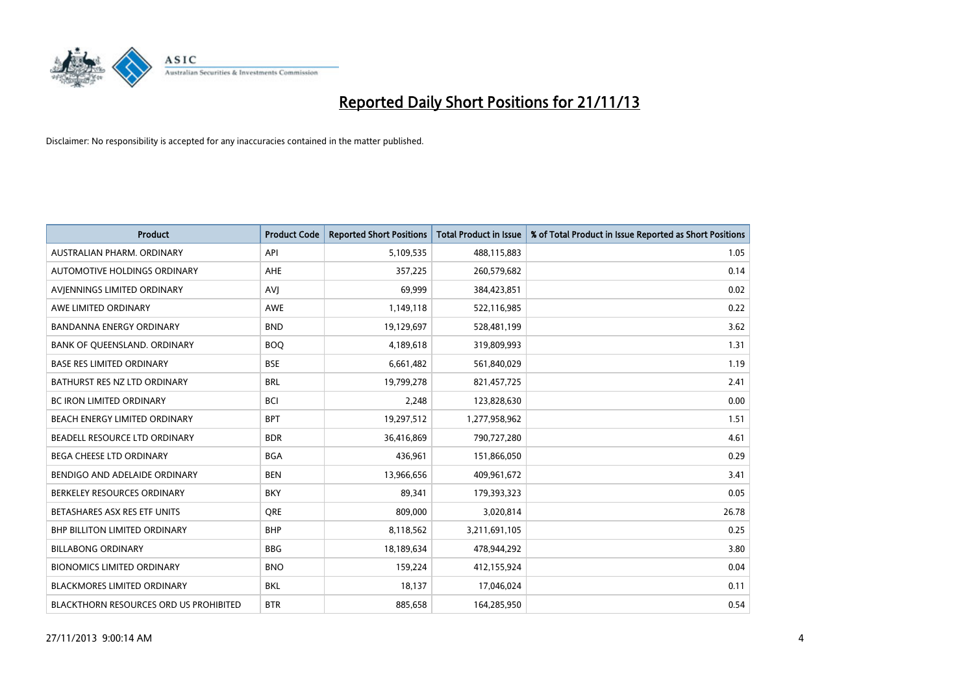

| <b>Product</b>                         | <b>Product Code</b> | <b>Reported Short Positions</b> | <b>Total Product in Issue</b> | % of Total Product in Issue Reported as Short Positions |
|----------------------------------------|---------------------|---------------------------------|-------------------------------|---------------------------------------------------------|
| AUSTRALIAN PHARM, ORDINARY             | API                 | 5,109,535                       | 488,115,883                   | 1.05                                                    |
| AUTOMOTIVE HOLDINGS ORDINARY           | AHE                 | 357,225                         | 260,579,682                   | 0.14                                                    |
| AVIENNINGS LIMITED ORDINARY            | AVI                 | 69,999                          | 384,423,851                   | 0.02                                                    |
| AWE LIMITED ORDINARY                   | <b>AWE</b>          | 1,149,118                       | 522,116,985                   | 0.22                                                    |
| <b>BANDANNA ENERGY ORDINARY</b>        | <b>BND</b>          | 19,129,697                      | 528,481,199                   | 3.62                                                    |
| BANK OF QUEENSLAND. ORDINARY           | <b>BOO</b>          | 4,189,618                       | 319,809,993                   | 1.31                                                    |
| <b>BASE RES LIMITED ORDINARY</b>       | <b>BSE</b>          | 6,661,482                       | 561,840,029                   | 1.19                                                    |
| BATHURST RES NZ LTD ORDINARY           | <b>BRL</b>          | 19,799,278                      | 821,457,725                   | 2.41                                                    |
| BC IRON LIMITED ORDINARY               | <b>BCI</b>          | 2,248                           | 123,828,630                   | 0.00                                                    |
| BEACH ENERGY LIMITED ORDINARY          | <b>BPT</b>          | 19,297,512                      | 1,277,958,962                 | 1.51                                                    |
| BEADELL RESOURCE LTD ORDINARY          | <b>BDR</b>          | 36,416,869                      | 790,727,280                   | 4.61                                                    |
| BEGA CHEESE LTD ORDINARY               | <b>BGA</b>          | 436,961                         | 151,866,050                   | 0.29                                                    |
| BENDIGO AND ADELAIDE ORDINARY          | <b>BEN</b>          | 13,966,656                      | 409,961,672                   | 3.41                                                    |
| BERKELEY RESOURCES ORDINARY            | <b>BKY</b>          | 89,341                          | 179,393,323                   | 0.05                                                    |
| BETASHARES ASX RES ETF UNITS           | <b>ORE</b>          | 809,000                         | 3,020,814                     | 26.78                                                   |
| <b>BHP BILLITON LIMITED ORDINARY</b>   | <b>BHP</b>          | 8,118,562                       | 3,211,691,105                 | 0.25                                                    |
| <b>BILLABONG ORDINARY</b>              | <b>BBG</b>          | 18,189,634                      | 478,944,292                   | 3.80                                                    |
| <b>BIONOMICS LIMITED ORDINARY</b>      | <b>BNO</b>          | 159,224                         | 412,155,924                   | 0.04                                                    |
| <b>BLACKMORES LIMITED ORDINARY</b>     | <b>BKL</b>          | 18,137                          | 17,046,024                    | 0.11                                                    |
| BLACKTHORN RESOURCES ORD US PROHIBITED | <b>BTR</b>          | 885,658                         | 164,285,950                   | 0.54                                                    |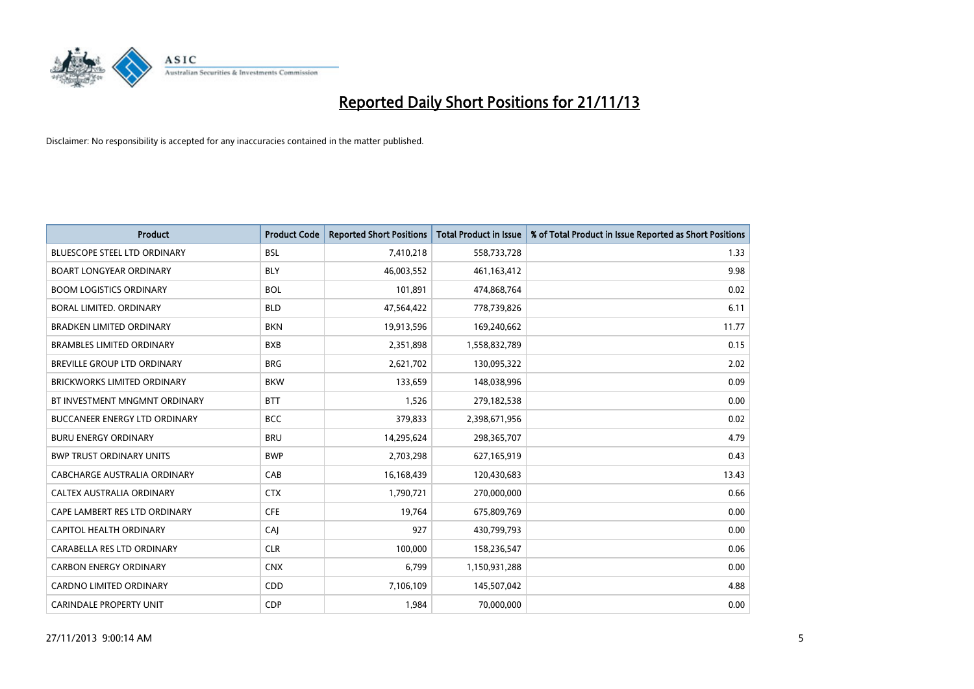

| <b>Product</b>                       | <b>Product Code</b> | <b>Reported Short Positions</b> | <b>Total Product in Issue</b> | % of Total Product in Issue Reported as Short Positions |
|--------------------------------------|---------------------|---------------------------------|-------------------------------|---------------------------------------------------------|
| <b>BLUESCOPE STEEL LTD ORDINARY</b>  | <b>BSL</b>          | 7,410,218                       | 558,733,728                   | 1.33                                                    |
| <b>BOART LONGYEAR ORDINARY</b>       | BLY                 | 46,003,552                      | 461, 163, 412                 | 9.98                                                    |
| <b>BOOM LOGISTICS ORDINARY</b>       | <b>BOL</b>          | 101,891                         | 474,868,764                   | 0.02                                                    |
| BORAL LIMITED. ORDINARY              | <b>BLD</b>          | 47,564,422                      | 778,739,826                   | 6.11                                                    |
| <b>BRADKEN LIMITED ORDINARY</b>      | <b>BKN</b>          | 19,913,596                      | 169,240,662                   | 11.77                                                   |
| <b>BRAMBLES LIMITED ORDINARY</b>     | <b>BXB</b>          | 2,351,898                       | 1,558,832,789                 | 0.15                                                    |
| BREVILLE GROUP LTD ORDINARY          | <b>BRG</b>          | 2,621,702                       | 130,095,322                   | 2.02                                                    |
| <b>BRICKWORKS LIMITED ORDINARY</b>   | <b>BKW</b>          | 133,659                         | 148,038,996                   | 0.09                                                    |
| BT INVESTMENT MNGMNT ORDINARY        | <b>BTT</b>          | 1,526                           | 279,182,538                   | 0.00                                                    |
| <b>BUCCANEER ENERGY LTD ORDINARY</b> | <b>BCC</b>          | 379,833                         | 2,398,671,956                 | 0.02                                                    |
| <b>BURU ENERGY ORDINARY</b>          | <b>BRU</b>          | 14,295,624                      | 298,365,707                   | 4.79                                                    |
| <b>BWP TRUST ORDINARY UNITS</b>      | <b>BWP</b>          | 2,703,298                       | 627,165,919                   | 0.43                                                    |
| CABCHARGE AUSTRALIA ORDINARY         | CAB                 | 16,168,439                      | 120,430,683                   | 13.43                                                   |
| CALTEX AUSTRALIA ORDINARY            | <b>CTX</b>          | 1,790,721                       | 270,000,000                   | 0.66                                                    |
| CAPE LAMBERT RES LTD ORDINARY        | <b>CFE</b>          | 19,764                          | 675,809,769                   | 0.00                                                    |
| CAPITOL HEALTH ORDINARY              | CAI                 | 927                             | 430,799,793                   | 0.00                                                    |
| CARABELLA RES LTD ORDINARY           | <b>CLR</b>          | 100,000                         | 158,236,547                   | 0.06                                                    |
| <b>CARBON ENERGY ORDINARY</b>        | <b>CNX</b>          | 6,799                           | 1,150,931,288                 | 0.00                                                    |
| <b>CARDNO LIMITED ORDINARY</b>       | CDD                 | 7,106,109                       | 145,507,042                   | 4.88                                                    |
| CARINDALE PROPERTY UNIT              | <b>CDP</b>          | 1,984                           | 70,000,000                    | 0.00                                                    |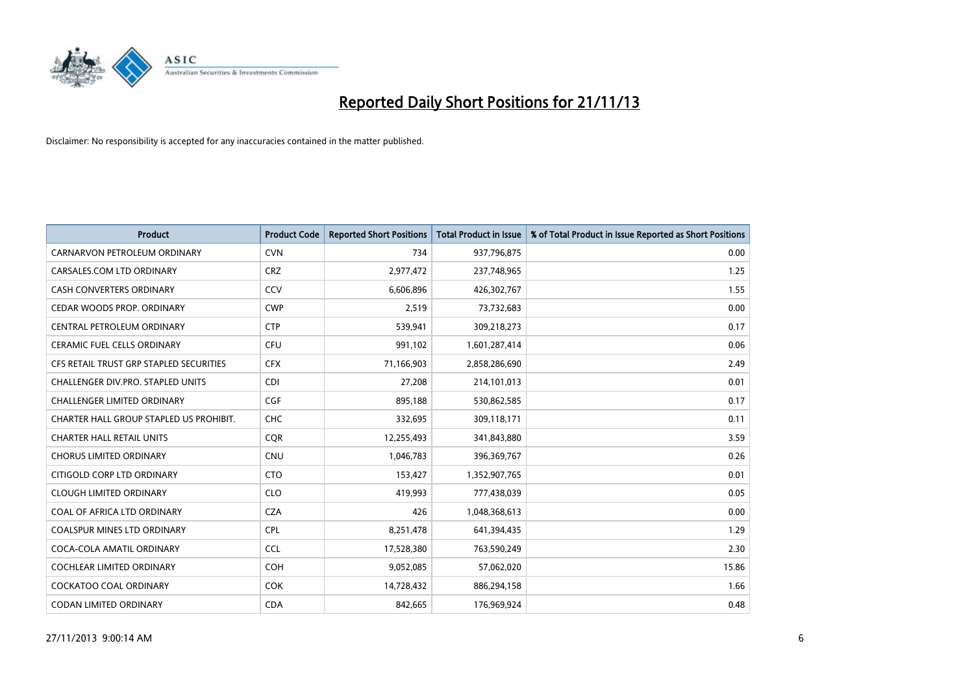

| Product                                 | <b>Product Code</b> | <b>Reported Short Positions</b> | <b>Total Product in Issue</b> | % of Total Product in Issue Reported as Short Positions |
|-----------------------------------------|---------------------|---------------------------------|-------------------------------|---------------------------------------------------------|
|                                         |                     |                                 |                               |                                                         |
| CARNARVON PETROLEUM ORDINARY            | <b>CVN</b>          | 734                             | 937,796,875                   | 0.00                                                    |
| CARSALES.COM LTD ORDINARY               | <b>CRZ</b>          | 2,977,472                       | 237,748,965                   | 1.25                                                    |
| <b>CASH CONVERTERS ORDINARY</b>         | CCV                 | 6,606,896                       | 426,302,767                   | 1.55                                                    |
| CEDAR WOODS PROP. ORDINARY              | <b>CWP</b>          | 2,519                           | 73,732,683                    | 0.00                                                    |
| CENTRAL PETROLEUM ORDINARY              | <b>CTP</b>          | 539,941                         | 309,218,273                   | 0.17                                                    |
| <b>CERAMIC FUEL CELLS ORDINARY</b>      | <b>CFU</b>          | 991,102                         | 1,601,287,414                 | 0.06                                                    |
| CFS RETAIL TRUST GRP STAPLED SECURITIES | <b>CFX</b>          | 71,166,903                      | 2,858,286,690                 | 2.49                                                    |
| CHALLENGER DIV.PRO. STAPLED UNITS       | <b>CDI</b>          | 27,208                          | 214,101,013                   | 0.01                                                    |
| <b>CHALLENGER LIMITED ORDINARY</b>      | <b>CGF</b>          | 895,188                         | 530,862,585                   | 0.17                                                    |
| CHARTER HALL GROUP STAPLED US PROHIBIT. | <b>CHC</b>          | 332,695                         | 309,118,171                   | 0.11                                                    |
| <b>CHARTER HALL RETAIL UNITS</b>        | <b>CQR</b>          | 12,255,493                      | 341,843,880                   | 3.59                                                    |
| <b>CHORUS LIMITED ORDINARY</b>          | <b>CNU</b>          | 1,046,783                       | 396,369,767                   | 0.26                                                    |
| CITIGOLD CORP LTD ORDINARY              | <b>CTO</b>          | 153,427                         | 1,352,907,765                 | 0.01                                                    |
| <b>CLOUGH LIMITED ORDINARY</b>          | <b>CLO</b>          | 419,993                         | 777,438,039                   | 0.05                                                    |
| COAL OF AFRICA LTD ORDINARY             | <b>CZA</b>          | 426                             | 1,048,368,613                 | 0.00                                                    |
| <b>COALSPUR MINES LTD ORDINARY</b>      | <b>CPL</b>          | 8,251,478                       | 641,394,435                   | 1.29                                                    |
| COCA-COLA AMATIL ORDINARY               | <b>CCL</b>          | 17,528,380                      | 763,590,249                   | 2.30                                                    |
| COCHLEAR LIMITED ORDINARY               | <b>COH</b>          | 9,052,085                       | 57,062,020                    | 15.86                                                   |
| <b>COCKATOO COAL ORDINARY</b>           | COK                 | 14,728,432                      | 886,294,158                   | 1.66                                                    |
| CODAN LIMITED ORDINARY                  | <b>CDA</b>          | 842,665                         | 176,969,924                   | 0.48                                                    |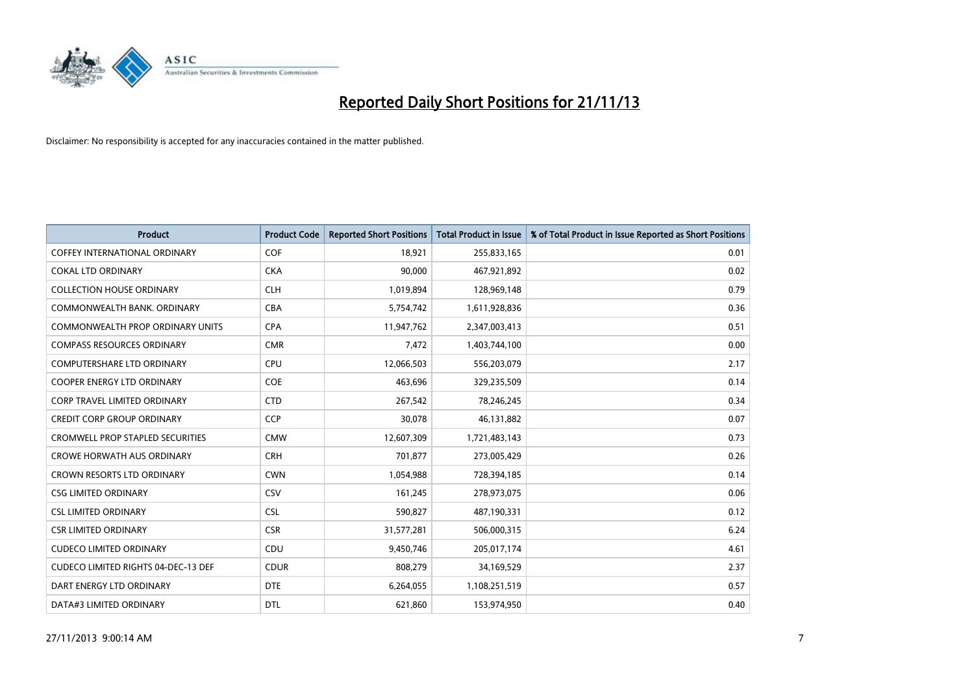

| <b>Product</b>                          | <b>Product Code</b> | <b>Reported Short Positions</b> | <b>Total Product in Issue</b> | % of Total Product in Issue Reported as Short Positions |
|-----------------------------------------|---------------------|---------------------------------|-------------------------------|---------------------------------------------------------|
| <b>COFFEY INTERNATIONAL ORDINARY</b>    | <b>COF</b>          | 18,921                          | 255,833,165                   | 0.01                                                    |
| <b>COKAL LTD ORDINARY</b>               | <b>CKA</b>          | 90,000                          | 467,921,892                   | 0.02                                                    |
| <b>COLLECTION HOUSE ORDINARY</b>        | <b>CLH</b>          | 1,019,894                       | 128,969,148                   | 0.79                                                    |
| COMMONWEALTH BANK, ORDINARY             | <b>CBA</b>          | 5,754,742                       | 1,611,928,836                 | 0.36                                                    |
| COMMONWEALTH PROP ORDINARY UNITS        | <b>CPA</b>          | 11,947,762                      | 2,347,003,413                 | 0.51                                                    |
| <b>COMPASS RESOURCES ORDINARY</b>       | <b>CMR</b>          | 7,472                           | 1,403,744,100                 | 0.00                                                    |
| <b>COMPUTERSHARE LTD ORDINARY</b>       | <b>CPU</b>          | 12,066,503                      | 556,203,079                   | 2.17                                                    |
| COOPER ENERGY LTD ORDINARY              | <b>COE</b>          | 463,696                         | 329,235,509                   | 0.14                                                    |
| <b>CORP TRAVEL LIMITED ORDINARY</b>     | <b>CTD</b>          | 267,542                         | 78,246,245                    | 0.34                                                    |
| <b>CREDIT CORP GROUP ORDINARY</b>       | <b>CCP</b>          | 30,078                          | 46,131,882                    | 0.07                                                    |
| <b>CROMWELL PROP STAPLED SECURITIES</b> | <b>CMW</b>          | 12,607,309                      | 1,721,483,143                 | 0.73                                                    |
| <b>CROWE HORWATH AUS ORDINARY</b>       | <b>CRH</b>          | 701,877                         | 273,005,429                   | 0.26                                                    |
| CROWN RESORTS LTD ORDINARY              | <b>CWN</b>          | 1,054,988                       | 728,394,185                   | 0.14                                                    |
| <b>CSG LIMITED ORDINARY</b>             | <b>CSV</b>          | 161,245                         | 278,973,075                   | 0.06                                                    |
| <b>CSL LIMITED ORDINARY</b>             | <b>CSL</b>          | 590,827                         | 487,190,331                   | 0.12                                                    |
| <b>CSR LIMITED ORDINARY</b>             | <b>CSR</b>          | 31,577,281                      | 506,000,315                   | 6.24                                                    |
| <b>CUDECO LIMITED ORDINARY</b>          | CDU                 | 9,450,746                       | 205,017,174                   | 4.61                                                    |
| CUDECO LIMITED RIGHTS 04-DEC-13 DEF     | <b>CDUR</b>         | 808,279                         | 34,169,529                    | 2.37                                                    |
| DART ENERGY LTD ORDINARY                | <b>DTE</b>          | 6,264,055                       | 1,108,251,519                 | 0.57                                                    |
| DATA#3 LIMITED ORDINARY                 | DTL                 | 621,860                         | 153,974,950                   | 0.40                                                    |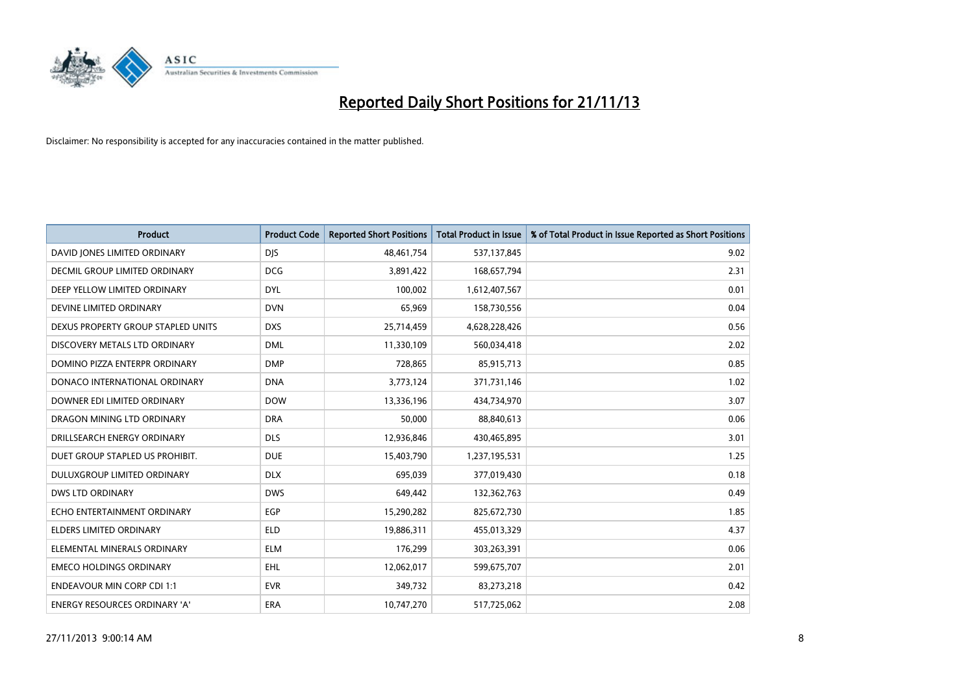

| <b>Product</b>                       | <b>Product Code</b> | <b>Reported Short Positions</b> | <b>Total Product in Issue</b> | % of Total Product in Issue Reported as Short Positions |
|--------------------------------------|---------------------|---------------------------------|-------------------------------|---------------------------------------------------------|
| DAVID JONES LIMITED ORDINARY         | <b>DJS</b>          | 48,461,754                      | 537,137,845                   | 9.02                                                    |
| <b>DECMIL GROUP LIMITED ORDINARY</b> | <b>DCG</b>          | 3,891,422                       | 168,657,794                   | 2.31                                                    |
| DEEP YELLOW LIMITED ORDINARY         | <b>DYL</b>          | 100,002                         | 1,612,407,567                 | 0.01                                                    |
| DEVINE LIMITED ORDINARY              | <b>DVN</b>          | 65,969                          | 158,730,556                   | 0.04                                                    |
| DEXUS PROPERTY GROUP STAPLED UNITS   | <b>DXS</b>          | 25,714,459                      | 4,628,228,426                 | 0.56                                                    |
| DISCOVERY METALS LTD ORDINARY        | <b>DML</b>          | 11,330,109                      | 560,034,418                   | 2.02                                                    |
| DOMINO PIZZA ENTERPR ORDINARY        | <b>DMP</b>          | 728,865                         | 85,915,713                    | 0.85                                                    |
| DONACO INTERNATIONAL ORDINARY        | <b>DNA</b>          | 3,773,124                       | 371,731,146                   | 1.02                                                    |
| DOWNER EDI LIMITED ORDINARY          | <b>DOW</b>          | 13,336,196                      | 434,734,970                   | 3.07                                                    |
| DRAGON MINING LTD ORDINARY           | <b>DRA</b>          | 50,000                          | 88,840,613                    | 0.06                                                    |
| DRILLSEARCH ENERGY ORDINARY          | <b>DLS</b>          | 12,936,846                      | 430,465,895                   | 3.01                                                    |
| DUET GROUP STAPLED US PROHIBIT.      | <b>DUE</b>          | 15,403,790                      | 1,237,195,531                 | 1.25                                                    |
| <b>DULUXGROUP LIMITED ORDINARY</b>   | <b>DLX</b>          | 695,039                         | 377,019,430                   | 0.18                                                    |
| <b>DWS LTD ORDINARY</b>              | <b>DWS</b>          | 649,442                         | 132,362,763                   | 0.49                                                    |
| ECHO ENTERTAINMENT ORDINARY          | EGP                 | 15,290,282                      | 825,672,730                   | 1.85                                                    |
| ELDERS LIMITED ORDINARY              | <b>ELD</b>          | 19,886,311                      | 455,013,329                   | 4.37                                                    |
| ELEMENTAL MINERALS ORDINARY          | <b>ELM</b>          | 176,299                         | 303,263,391                   | 0.06                                                    |
| <b>EMECO HOLDINGS ORDINARY</b>       | <b>EHL</b>          | 12,062,017                      | 599,675,707                   | 2.01                                                    |
| <b>ENDEAVOUR MIN CORP CDI 1:1</b>    | <b>EVR</b>          | 349,732                         | 83,273,218                    | 0.42                                                    |
| ENERGY RESOURCES ORDINARY 'A'        | <b>ERA</b>          | 10,747,270                      | 517,725,062                   | 2.08                                                    |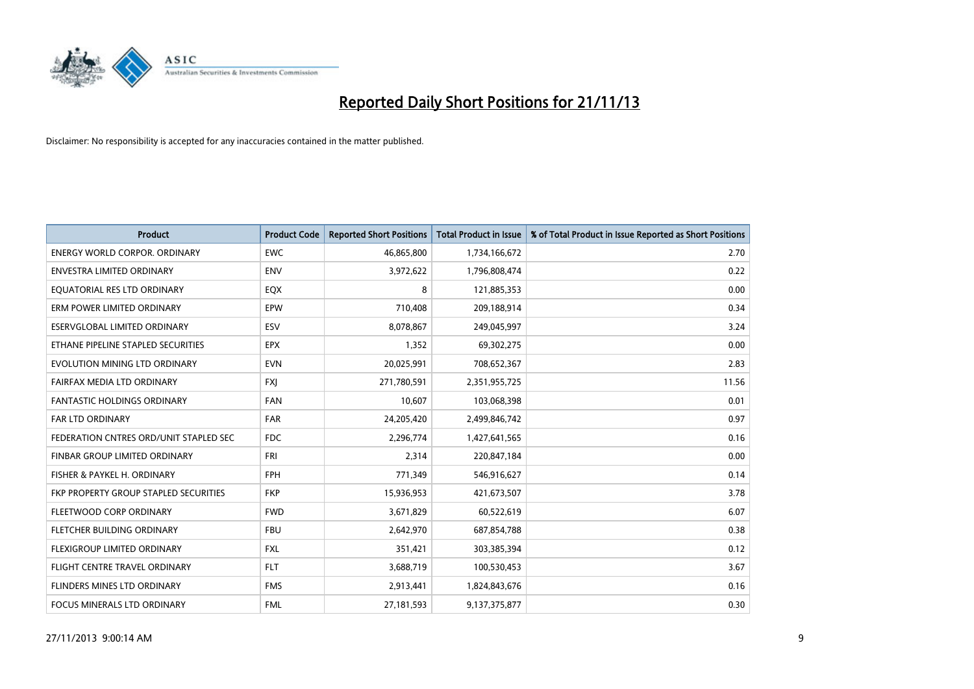

| <b>Product</b>                         | <b>Product Code</b> | <b>Reported Short Positions</b> | <b>Total Product in Issue</b> | % of Total Product in Issue Reported as Short Positions |
|----------------------------------------|---------------------|---------------------------------|-------------------------------|---------------------------------------------------------|
| <b>ENERGY WORLD CORPOR, ORDINARY</b>   | <b>EWC</b>          | 46,865,800                      | 1,734,166,672                 | 2.70                                                    |
| ENVESTRA LIMITED ORDINARY              | <b>ENV</b>          | 3,972,622                       | 1,796,808,474                 | 0.22                                                    |
| EQUATORIAL RES LTD ORDINARY            | EQX                 | 8                               | 121,885,353                   | 0.00                                                    |
| ERM POWER LIMITED ORDINARY             | EPW                 | 710,408                         | 209,188,914                   | 0.34                                                    |
| ESERVGLOBAL LIMITED ORDINARY           | ESV                 | 8,078,867                       | 249,045,997                   | 3.24                                                    |
| ETHANE PIPELINE STAPLED SECURITIES     | <b>EPX</b>          | 1,352                           | 69,302,275                    | 0.00                                                    |
| EVOLUTION MINING LTD ORDINARY          | <b>EVN</b>          | 20,025,991                      | 708,652,367                   | 2.83                                                    |
| FAIRFAX MEDIA LTD ORDINARY             | FXJ                 | 271,780,591                     | 2,351,955,725                 | 11.56                                                   |
| <b>FANTASTIC HOLDINGS ORDINARY</b>     | <b>FAN</b>          | 10,607                          | 103,068,398                   | 0.01                                                    |
| <b>FAR LTD ORDINARY</b>                | <b>FAR</b>          | 24,205,420                      | 2,499,846,742                 | 0.97                                                    |
| FEDERATION CNTRES ORD/UNIT STAPLED SEC | FDC                 | 2,296,774                       | 1,427,641,565                 | 0.16                                                    |
| <b>FINBAR GROUP LIMITED ORDINARY</b>   | <b>FRI</b>          | 2,314                           | 220,847,184                   | 0.00                                                    |
| FISHER & PAYKEL H. ORDINARY            | <b>FPH</b>          | 771,349                         | 546,916,627                   | 0.14                                                    |
| FKP PROPERTY GROUP STAPLED SECURITIES  | <b>FKP</b>          | 15,936,953                      | 421,673,507                   | 3.78                                                    |
| FLEETWOOD CORP ORDINARY                | <b>FWD</b>          | 3,671,829                       | 60,522,619                    | 6.07                                                    |
| FLETCHER BUILDING ORDINARY             | <b>FBU</b>          | 2,642,970                       | 687,854,788                   | 0.38                                                    |
| FLEXIGROUP LIMITED ORDINARY            | <b>FXL</b>          | 351,421                         | 303,385,394                   | 0.12                                                    |
| FLIGHT CENTRE TRAVEL ORDINARY          | <b>FLT</b>          | 3,688,719                       | 100,530,453                   | 3.67                                                    |
| FLINDERS MINES LTD ORDINARY            | <b>FMS</b>          | 2,913,441                       | 1,824,843,676                 | 0.16                                                    |
| <b>FOCUS MINERALS LTD ORDINARY</b>     | <b>FML</b>          | 27,181,593                      | 9,137,375,877                 | 0.30                                                    |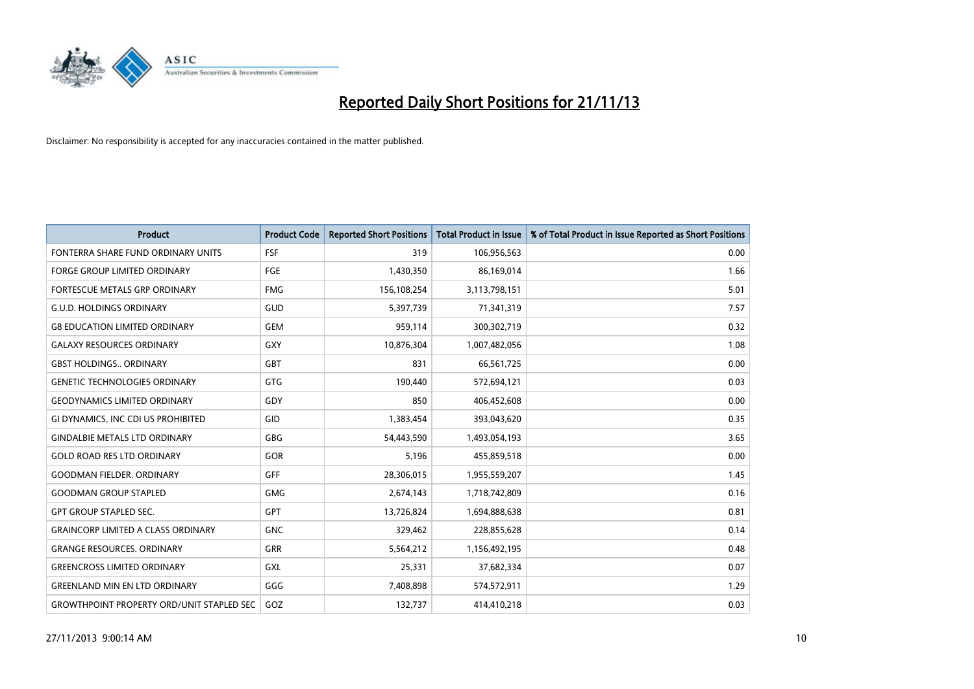

| <b>Product</b>                                   | <b>Product Code</b> | <b>Reported Short Positions</b> | <b>Total Product in Issue</b> | % of Total Product in Issue Reported as Short Positions |
|--------------------------------------------------|---------------------|---------------------------------|-------------------------------|---------------------------------------------------------|
| FONTERRA SHARE FUND ORDINARY UNITS               | <b>FSF</b>          | 319                             | 106,956,563                   | 0.00                                                    |
| <b>FORGE GROUP LIMITED ORDINARY</b>              | <b>FGE</b>          | 1,430,350                       | 86,169,014                    | 1.66                                                    |
| FORTESCUE METALS GRP ORDINARY                    | <b>FMG</b>          | 156,108,254                     | 3,113,798,151                 | 5.01                                                    |
| <b>G.U.D. HOLDINGS ORDINARY</b>                  | GUD                 | 5,397,739                       | 71,341,319                    | 7.57                                                    |
| <b>G8 EDUCATION LIMITED ORDINARY</b>             | <b>GEM</b>          | 959,114                         | 300,302,719                   | 0.32                                                    |
| <b>GALAXY RESOURCES ORDINARY</b>                 | GXY                 | 10,876,304                      | 1,007,482,056                 | 1.08                                                    |
| <b>GBST HOLDINGS ORDINARY</b>                    | GBT                 | 831                             | 66,561,725                    | 0.00                                                    |
| <b>GENETIC TECHNOLOGIES ORDINARY</b>             | GTG                 | 190,440                         | 572,694,121                   | 0.03                                                    |
| <b>GEODYNAMICS LIMITED ORDINARY</b>              | GDY                 | 850                             | 406,452,608                   | 0.00                                                    |
| GI DYNAMICS, INC CDI US PROHIBITED               | GID                 | 1,383,454                       | 393,043,620                   | 0.35                                                    |
| <b>GINDALBIE METALS LTD ORDINARY</b>             | GBG                 | 54,443,590                      | 1,493,054,193                 | 3.65                                                    |
| <b>GOLD ROAD RES LTD ORDINARY</b>                | GOR                 | 5,196                           | 455,859,518                   | 0.00                                                    |
| <b>GOODMAN FIELDER, ORDINARY</b>                 | <b>GFF</b>          | 28,306,015                      | 1,955,559,207                 | 1.45                                                    |
| <b>GOODMAN GROUP STAPLED</b>                     | <b>GMG</b>          | 2,674,143                       | 1,718,742,809                 | 0.16                                                    |
| <b>GPT GROUP STAPLED SEC.</b>                    | <b>GPT</b>          | 13,726,824                      | 1,694,888,638                 | 0.81                                                    |
| <b>GRAINCORP LIMITED A CLASS ORDINARY</b>        | <b>GNC</b>          | 329,462                         | 228,855,628                   | 0.14                                                    |
| <b>GRANGE RESOURCES. ORDINARY</b>                | GRR                 | 5,564,212                       | 1,156,492,195                 | 0.48                                                    |
| <b>GREENCROSS LIMITED ORDINARY</b>               | GXL                 | 25,331                          | 37,682,334                    | 0.07                                                    |
| <b>GREENLAND MIN EN LTD ORDINARY</b>             | GGG                 | 7,408,898                       | 574,572,911                   | 1.29                                                    |
| <b>GROWTHPOINT PROPERTY ORD/UNIT STAPLED SEC</b> | GOZ                 | 132,737                         | 414,410,218                   | 0.03                                                    |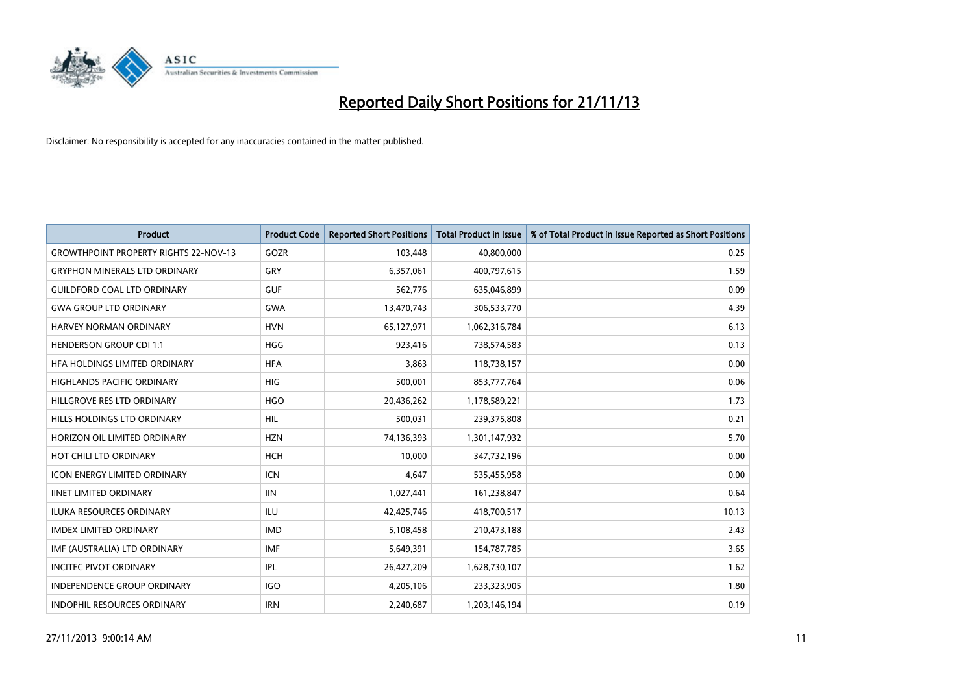

| <b>Product</b>                               | <b>Product Code</b> | <b>Reported Short Positions</b> | <b>Total Product in Issue</b> | % of Total Product in Issue Reported as Short Positions |
|----------------------------------------------|---------------------|---------------------------------|-------------------------------|---------------------------------------------------------|
| <b>GROWTHPOINT PROPERTY RIGHTS 22-NOV-13</b> | GOZR                | 103,448                         | 40,800,000                    | 0.25                                                    |
| <b>GRYPHON MINERALS LTD ORDINARY</b>         | <b>GRY</b>          | 6,357,061                       | 400,797,615                   | 1.59                                                    |
| <b>GUILDFORD COAL LTD ORDINARY</b>           | <b>GUF</b>          | 562,776                         | 635,046,899                   | 0.09                                                    |
| <b>GWA GROUP LTD ORDINARY</b>                | <b>GWA</b>          | 13,470,743                      | 306,533,770                   | 4.39                                                    |
| HARVEY NORMAN ORDINARY                       | <b>HVN</b>          | 65,127,971                      | 1,062,316,784                 | 6.13                                                    |
| <b>HENDERSON GROUP CDI 1:1</b>               | <b>HGG</b>          | 923,416                         | 738,574,583                   | 0.13                                                    |
| HFA HOLDINGS LIMITED ORDINARY                | <b>HFA</b>          | 3,863                           | 118,738,157                   | 0.00                                                    |
| HIGHLANDS PACIFIC ORDINARY                   | <b>HIG</b>          | 500,001                         | 853,777,764                   | 0.06                                                    |
| HILLGROVE RES LTD ORDINARY                   | <b>HGO</b>          | 20,436,262                      | 1,178,589,221                 | 1.73                                                    |
| HILLS HOLDINGS LTD ORDINARY                  | <b>HIL</b>          | 500,031                         | 239,375,808                   | 0.21                                                    |
| HORIZON OIL LIMITED ORDINARY                 | <b>HZN</b>          | 74,136,393                      | 1,301,147,932                 | 5.70                                                    |
| HOT CHILI LTD ORDINARY                       | <b>HCH</b>          | 10,000                          | 347,732,196                   | 0.00                                                    |
| <b>ICON ENERGY LIMITED ORDINARY</b>          | <b>ICN</b>          | 4,647                           | 535,455,958                   | 0.00                                                    |
| <b>IINET LIMITED ORDINARY</b>                | <b>IIN</b>          | 1,027,441                       | 161,238,847                   | 0.64                                                    |
| <b>ILUKA RESOURCES ORDINARY</b>              | ILU                 | 42,425,746                      | 418,700,517                   | 10.13                                                   |
| <b>IMDEX LIMITED ORDINARY</b>                | <b>IMD</b>          | 5,108,458                       | 210,473,188                   | 2.43                                                    |
| IMF (AUSTRALIA) LTD ORDINARY                 | <b>IMF</b>          | 5,649,391                       | 154,787,785                   | 3.65                                                    |
| <b>INCITEC PIVOT ORDINARY</b>                | IPL                 | 26,427,209                      | 1,628,730,107                 | 1.62                                                    |
| INDEPENDENCE GROUP ORDINARY                  | <b>IGO</b>          | 4,205,106                       | 233,323,905                   | 1.80                                                    |
| <b>INDOPHIL RESOURCES ORDINARY</b>           | <b>IRN</b>          | 2,240,687                       | 1,203,146,194                 | 0.19                                                    |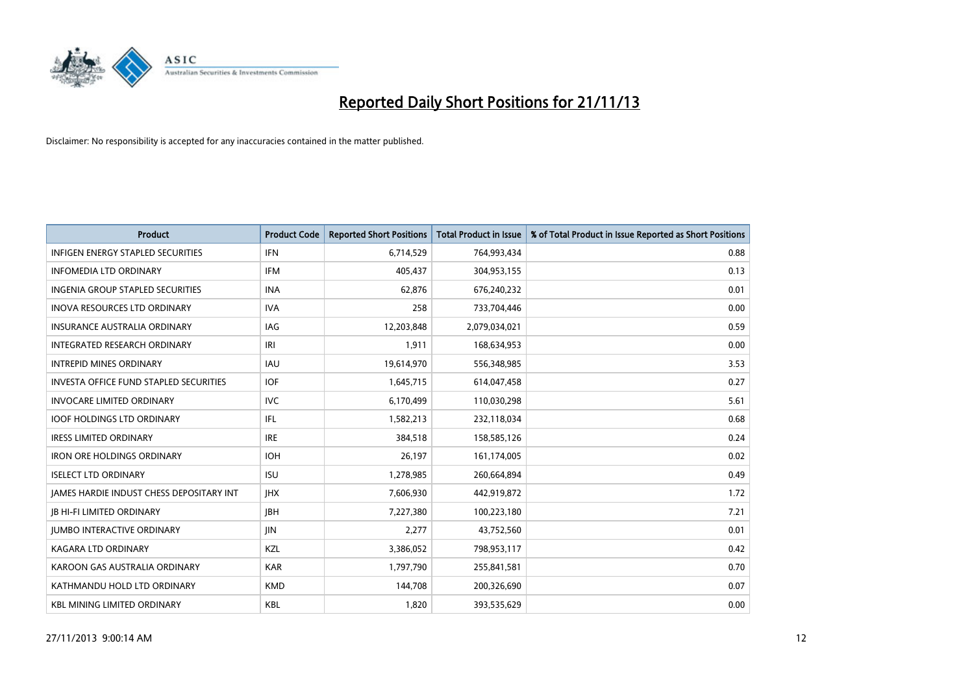

| <b>Product</b>                           | <b>Product Code</b> | <b>Reported Short Positions</b> | <b>Total Product in Issue</b> | % of Total Product in Issue Reported as Short Positions |
|------------------------------------------|---------------------|---------------------------------|-------------------------------|---------------------------------------------------------|
| <b>INFIGEN ENERGY STAPLED SECURITIES</b> | <b>IFN</b>          | 6,714,529                       | 764,993,434                   | 0.88                                                    |
| <b>INFOMEDIA LTD ORDINARY</b>            | <b>IFM</b>          | 405,437                         | 304,953,155                   | 0.13                                                    |
| <b>INGENIA GROUP STAPLED SECURITIES</b>  | <b>INA</b>          | 62,876                          | 676,240,232                   | 0.01                                                    |
| INOVA RESOURCES LTD ORDINARY             | <b>IVA</b>          | 258                             | 733,704,446                   | 0.00                                                    |
| <b>INSURANCE AUSTRALIA ORDINARY</b>      | IAG                 | 12,203,848                      | 2,079,034,021                 | 0.59                                                    |
| INTEGRATED RESEARCH ORDINARY             | IRI                 | 1,911                           | 168,634,953                   | 0.00                                                    |
| <b>INTREPID MINES ORDINARY</b>           | <b>IAU</b>          | 19,614,970                      | 556,348,985                   | 3.53                                                    |
| INVESTA OFFICE FUND STAPLED SECURITIES   | <b>IOF</b>          | 1,645,715                       | 614,047,458                   | 0.27                                                    |
| <b>INVOCARE LIMITED ORDINARY</b>         | <b>IVC</b>          | 6,170,499                       | 110,030,298                   | 5.61                                                    |
| <b>IOOF HOLDINGS LTD ORDINARY</b>        | IFL                 | 1,582,213                       | 232,118,034                   | 0.68                                                    |
| <b>IRESS LIMITED ORDINARY</b>            | <b>IRE</b>          | 384,518                         | 158,585,126                   | 0.24                                                    |
| <b>IRON ORE HOLDINGS ORDINARY</b>        | <b>IOH</b>          | 26,197                          | 161,174,005                   | 0.02                                                    |
| <b>ISELECT LTD ORDINARY</b>              | <b>ISU</b>          | 1,278,985                       | 260,664,894                   | 0.49                                                    |
| JAMES HARDIE INDUST CHESS DEPOSITARY INT | <b>IHX</b>          | 7,606,930                       | 442,919,872                   | 1.72                                                    |
| <b>JB HI-FI LIMITED ORDINARY</b>         | <b>IBH</b>          | 7,227,380                       | 100,223,180                   | 7.21                                                    |
| JUMBO INTERACTIVE ORDINARY               | <b>JIN</b>          | 2,277                           | 43,752,560                    | 0.01                                                    |
| KAGARA LTD ORDINARY                      | KZL                 | 3,386,052                       | 798,953,117                   | 0.42                                                    |
| KAROON GAS AUSTRALIA ORDINARY            | <b>KAR</b>          | 1,797,790                       | 255,841,581                   | 0.70                                                    |
| KATHMANDU HOLD LTD ORDINARY              | <b>KMD</b>          | 144,708                         | 200,326,690                   | 0.07                                                    |
| <b>KBL MINING LIMITED ORDINARY</b>       | <b>KBL</b>          | 1,820                           | 393,535,629                   | 0.00                                                    |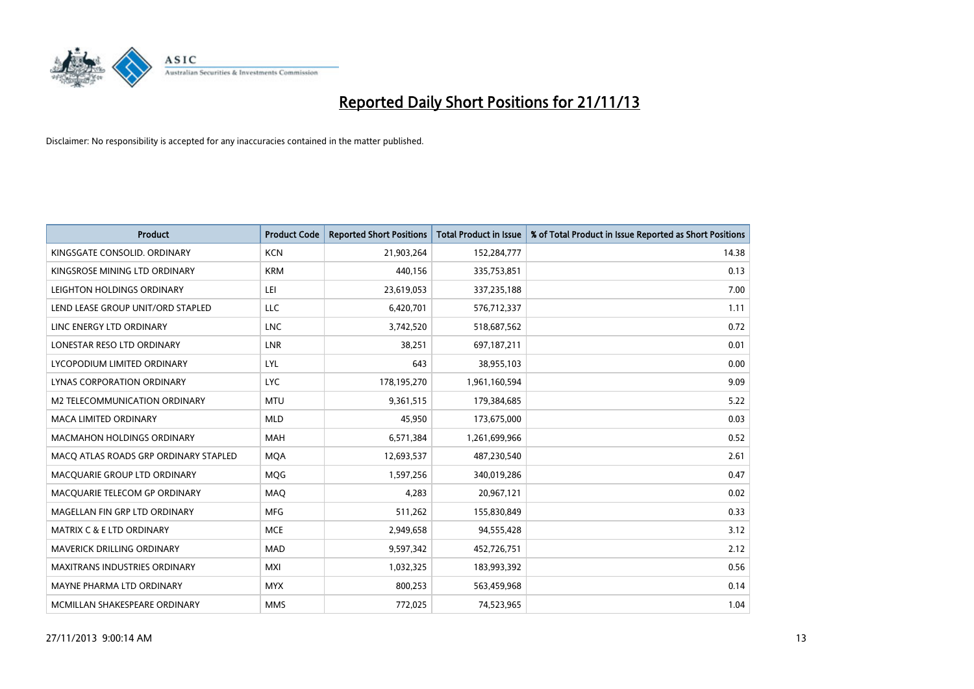

| <b>Product</b>                        | <b>Product Code</b> | <b>Reported Short Positions</b> | <b>Total Product in Issue</b> | % of Total Product in Issue Reported as Short Positions |
|---------------------------------------|---------------------|---------------------------------|-------------------------------|---------------------------------------------------------|
| KINGSGATE CONSOLID. ORDINARY          | <b>KCN</b>          | 21,903,264                      | 152,284,777                   | 14.38                                                   |
| KINGSROSE MINING LTD ORDINARY         | <b>KRM</b>          | 440,156                         | 335,753,851                   | 0.13                                                    |
| LEIGHTON HOLDINGS ORDINARY            | LEI                 | 23,619,053                      | 337,235,188                   | 7.00                                                    |
| LEND LEASE GROUP UNIT/ORD STAPLED     | <b>LLC</b>          | 6,420,701                       | 576,712,337                   | 1.11                                                    |
| LINC ENERGY LTD ORDINARY              | <b>LNC</b>          | 3,742,520                       | 518,687,562                   | 0.72                                                    |
| LONESTAR RESO LTD ORDINARY            | <b>LNR</b>          | 38,251                          | 697,187,211                   | 0.01                                                    |
| LYCOPODIUM LIMITED ORDINARY           | <b>LYL</b>          | 643                             | 38,955,103                    | 0.00                                                    |
| LYNAS CORPORATION ORDINARY            | <b>LYC</b>          | 178,195,270                     | 1,961,160,594                 | 9.09                                                    |
| <b>M2 TELECOMMUNICATION ORDINARY</b>  | <b>MTU</b>          | 9,361,515                       | 179,384,685                   | 5.22                                                    |
| <b>MACA LIMITED ORDINARY</b>          | <b>MLD</b>          | 45,950                          | 173,675,000                   | 0.03                                                    |
| MACMAHON HOLDINGS ORDINARY            | MAH                 | 6,571,384                       | 1,261,699,966                 | 0.52                                                    |
| MACO ATLAS ROADS GRP ORDINARY STAPLED | <b>MQA</b>          | 12,693,537                      | 487,230,540                   | 2.61                                                    |
| MACQUARIE GROUP LTD ORDINARY          | <b>MQG</b>          | 1,597,256                       | 340,019,286                   | 0.47                                                    |
| MACQUARIE TELECOM GP ORDINARY         | MAQ                 | 4,283                           | 20,967,121                    | 0.02                                                    |
| MAGELLAN FIN GRP LTD ORDINARY         | <b>MFG</b>          | 511,262                         | 155,830,849                   | 0.33                                                    |
| MATRIX C & E LTD ORDINARY             | <b>MCE</b>          | 2,949,658                       | 94,555,428                    | 3.12                                                    |
| <b>MAVERICK DRILLING ORDINARY</b>     | <b>MAD</b>          | 9,597,342                       | 452,726,751                   | 2.12                                                    |
| <b>MAXITRANS INDUSTRIES ORDINARY</b>  | <b>MXI</b>          | 1,032,325                       | 183,993,392                   | 0.56                                                    |
| MAYNE PHARMA LTD ORDINARY             | <b>MYX</b>          | 800,253                         | 563,459,968                   | 0.14                                                    |
| MCMILLAN SHAKESPEARE ORDINARY         | <b>MMS</b>          | 772,025                         | 74,523,965                    | 1.04                                                    |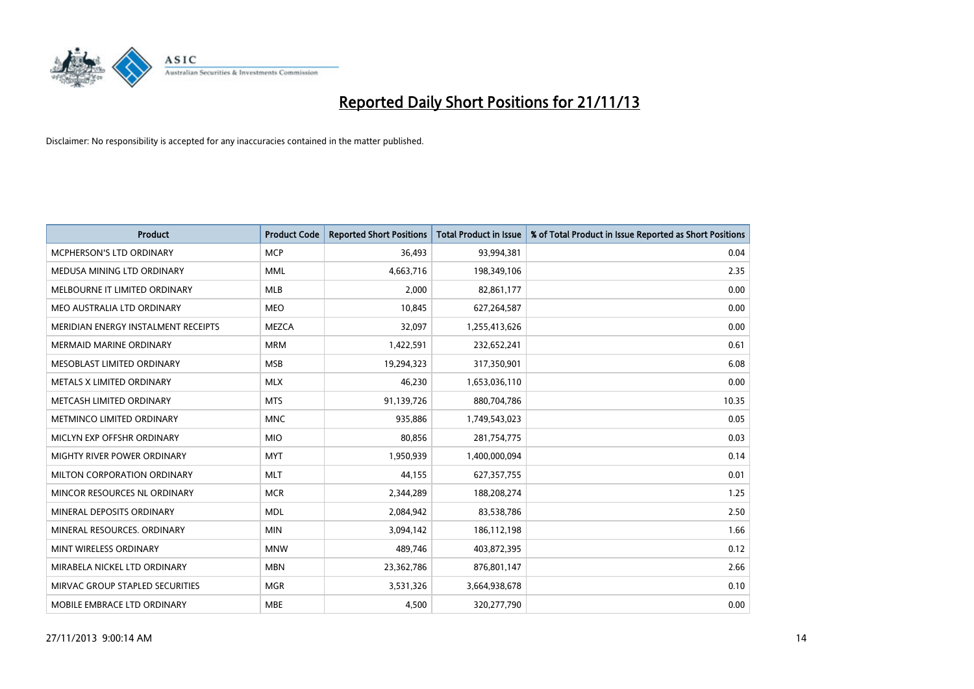

| <b>Product</b>                      | <b>Product Code</b> | <b>Reported Short Positions</b> | <b>Total Product in Issue</b> | % of Total Product in Issue Reported as Short Positions |
|-------------------------------------|---------------------|---------------------------------|-------------------------------|---------------------------------------------------------|
| MCPHERSON'S LTD ORDINARY            | <b>MCP</b>          | 36,493                          | 93,994,381                    | 0.04                                                    |
| MEDUSA MINING LTD ORDINARY          | <b>MML</b>          | 4,663,716                       | 198,349,106                   | 2.35                                                    |
| MELBOURNE IT LIMITED ORDINARY       | <b>MLB</b>          | 2,000                           | 82,861,177                    | 0.00                                                    |
| MEO AUSTRALIA LTD ORDINARY          | <b>MEO</b>          | 10,845                          | 627,264,587                   | 0.00                                                    |
| MERIDIAN ENERGY INSTALMENT RECEIPTS | <b>MEZCA</b>        | 32,097                          | 1,255,413,626                 | 0.00                                                    |
| <b>MERMAID MARINE ORDINARY</b>      | <b>MRM</b>          | 1,422,591                       | 232,652,241                   | 0.61                                                    |
| MESOBLAST LIMITED ORDINARY          | <b>MSB</b>          | 19,294,323                      | 317,350,901                   | 6.08                                                    |
| METALS X LIMITED ORDINARY           | <b>MLX</b>          | 46,230                          | 1,653,036,110                 | 0.00                                                    |
| METCASH LIMITED ORDINARY            | <b>MTS</b>          | 91,139,726                      | 880,704,786                   | 10.35                                                   |
| METMINCO LIMITED ORDINARY           | <b>MNC</b>          | 935,886                         | 1,749,543,023                 | 0.05                                                    |
| MICLYN EXP OFFSHR ORDINARY          | <b>MIO</b>          | 80,856                          | 281,754,775                   | 0.03                                                    |
| MIGHTY RIVER POWER ORDINARY         | <b>MYT</b>          | 1,950,939                       | 1,400,000,094                 | 0.14                                                    |
| MILTON CORPORATION ORDINARY         | <b>MLT</b>          | 44,155                          | 627,357,755                   | 0.01                                                    |
| MINCOR RESOURCES NL ORDINARY        | <b>MCR</b>          | 2,344,289                       | 188,208,274                   | 1.25                                                    |
| MINERAL DEPOSITS ORDINARY           | <b>MDL</b>          | 2,084,942                       | 83,538,786                    | 2.50                                                    |
| MINERAL RESOURCES, ORDINARY         | <b>MIN</b>          | 3,094,142                       | 186,112,198                   | 1.66                                                    |
| MINT WIRELESS ORDINARY              | <b>MNW</b>          | 489,746                         | 403,872,395                   | 0.12                                                    |
| MIRABELA NICKEL LTD ORDINARY        | <b>MBN</b>          | 23,362,786                      | 876,801,147                   | 2.66                                                    |
| MIRVAC GROUP STAPLED SECURITIES     | <b>MGR</b>          | 3,531,326                       | 3,664,938,678                 | 0.10                                                    |
| MOBILE EMBRACE LTD ORDINARY         | <b>MBE</b>          | 4,500                           | 320,277,790                   | 0.00                                                    |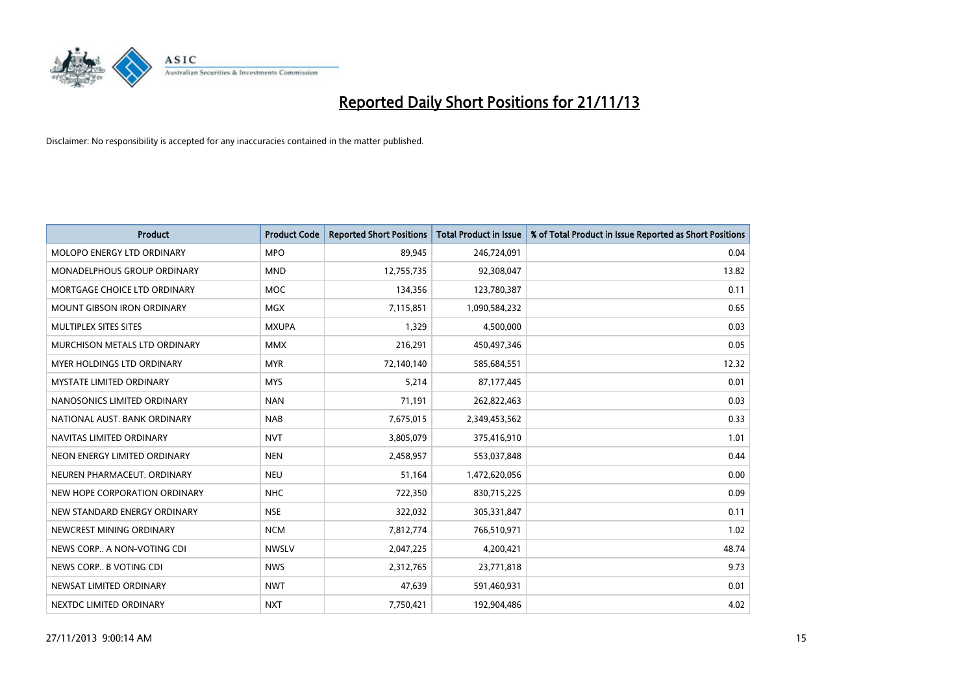

| <b>Product</b>                | <b>Product Code</b> | <b>Reported Short Positions</b> | <b>Total Product in Issue</b> | % of Total Product in Issue Reported as Short Positions |
|-------------------------------|---------------------|---------------------------------|-------------------------------|---------------------------------------------------------|
| MOLOPO ENERGY LTD ORDINARY    | <b>MPO</b>          | 89,945                          | 246,724,091                   | 0.04                                                    |
| MONADELPHOUS GROUP ORDINARY   | <b>MND</b>          | 12,755,735                      | 92,308,047                    | 13.82                                                   |
| MORTGAGE CHOICE LTD ORDINARY  | <b>MOC</b>          | 134,356                         | 123,780,387                   | 0.11                                                    |
| MOUNT GIBSON IRON ORDINARY    | MGX                 | 7,115,851                       | 1,090,584,232                 | 0.65                                                    |
| MULTIPLEX SITES SITES         | <b>MXUPA</b>        | 1,329                           | 4,500,000                     | 0.03                                                    |
| MURCHISON METALS LTD ORDINARY | <b>MMX</b>          | 216,291                         | 450,497,346                   | 0.05                                                    |
| MYER HOLDINGS LTD ORDINARY    | <b>MYR</b>          | 72,140,140                      | 585,684,551                   | 12.32                                                   |
| MYSTATE LIMITED ORDINARY      | <b>MYS</b>          | 5,214                           | 87,177,445                    | 0.01                                                    |
| NANOSONICS LIMITED ORDINARY   | <b>NAN</b>          | 71,191                          | 262,822,463                   | 0.03                                                    |
| NATIONAL AUST, BANK ORDINARY  | <b>NAB</b>          | 7,675,015                       | 2,349,453,562                 | 0.33                                                    |
| NAVITAS LIMITED ORDINARY      | <b>NVT</b>          | 3,805,079                       | 375,416,910                   | 1.01                                                    |
| NEON ENERGY LIMITED ORDINARY  | <b>NEN</b>          | 2,458,957                       | 553,037,848                   | 0.44                                                    |
| NEUREN PHARMACEUT. ORDINARY   | <b>NEU</b>          | 51,164                          | 1,472,620,056                 | 0.00                                                    |
| NEW HOPE CORPORATION ORDINARY | <b>NHC</b>          | 722,350                         | 830,715,225                   | 0.09                                                    |
| NEW STANDARD ENERGY ORDINARY  | <b>NSE</b>          | 322,032                         | 305,331,847                   | 0.11                                                    |
| NEWCREST MINING ORDINARY      | <b>NCM</b>          | 7,812,774                       | 766,510,971                   | 1.02                                                    |
| NEWS CORP A NON-VOTING CDI    | <b>NWSLV</b>        | 2,047,225                       | 4,200,421                     | 48.74                                                   |
| NEWS CORP B VOTING CDI        | <b>NWS</b>          | 2,312,765                       | 23,771,818                    | 9.73                                                    |
| NEWSAT LIMITED ORDINARY       | <b>NWT</b>          | 47,639                          | 591,460,931                   | 0.01                                                    |
| NEXTDC LIMITED ORDINARY       | <b>NXT</b>          | 7,750,421                       | 192,904,486                   | 4.02                                                    |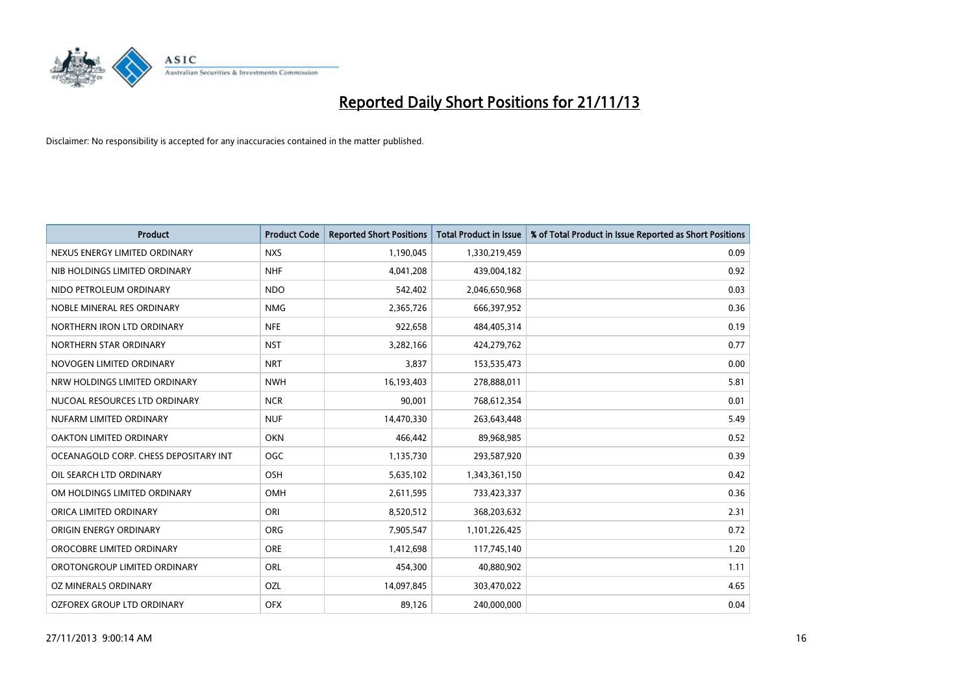

| <b>Product</b>                        | <b>Product Code</b> | <b>Reported Short Positions</b> | <b>Total Product in Issue</b> | % of Total Product in Issue Reported as Short Positions |
|---------------------------------------|---------------------|---------------------------------|-------------------------------|---------------------------------------------------------|
| NEXUS ENERGY LIMITED ORDINARY         | <b>NXS</b>          | 1,190,045                       | 1,330,219,459                 | 0.09                                                    |
| NIB HOLDINGS LIMITED ORDINARY         | <b>NHF</b>          | 4,041,208                       | 439,004,182                   | 0.92                                                    |
| NIDO PETROLEUM ORDINARY               | <b>NDO</b>          | 542,402                         | 2,046,650,968                 | 0.03                                                    |
| NOBLE MINERAL RES ORDINARY            | <b>NMG</b>          | 2,365,726                       | 666,397,952                   | 0.36                                                    |
| NORTHERN IRON LTD ORDINARY            | <b>NFE</b>          | 922,658                         | 484,405,314                   | 0.19                                                    |
| NORTHERN STAR ORDINARY                | <b>NST</b>          | 3,282,166                       | 424,279,762                   | 0.77                                                    |
| NOVOGEN LIMITED ORDINARY              | <b>NRT</b>          | 3,837                           | 153,535,473                   | 0.00                                                    |
| NRW HOLDINGS LIMITED ORDINARY         | <b>NWH</b>          | 16,193,403                      | 278,888,011                   | 5.81                                                    |
| NUCOAL RESOURCES LTD ORDINARY         | <b>NCR</b>          | 90,001                          | 768,612,354                   | 0.01                                                    |
| NUFARM LIMITED ORDINARY               | <b>NUF</b>          | 14,470,330                      | 263,643,448                   | 5.49                                                    |
| OAKTON LIMITED ORDINARY               | <b>OKN</b>          | 466,442                         | 89,968,985                    | 0.52                                                    |
| OCEANAGOLD CORP. CHESS DEPOSITARY INT | <b>OGC</b>          | 1,135,730                       | 293,587,920                   | 0.39                                                    |
| OIL SEARCH LTD ORDINARY               | OSH                 | 5,635,102                       | 1,343,361,150                 | 0.42                                                    |
| OM HOLDINGS LIMITED ORDINARY          | OMH                 | 2,611,595                       | 733,423,337                   | 0.36                                                    |
| ORICA LIMITED ORDINARY                | ORI                 | 8,520,512                       | 368,203,632                   | 2.31                                                    |
| ORIGIN ENERGY ORDINARY                | <b>ORG</b>          | 7,905,547                       | 1,101,226,425                 | 0.72                                                    |
| OROCOBRE LIMITED ORDINARY             | <b>ORE</b>          | 1,412,698                       | 117,745,140                   | 1.20                                                    |
| OROTONGROUP LIMITED ORDINARY          | ORL                 | 454,300                         | 40,880,902                    | 1.11                                                    |
| OZ MINERALS ORDINARY                  | OZL                 | 14,097,845                      | 303,470,022                   | 4.65                                                    |
| OZFOREX GROUP LTD ORDINARY            | <b>OFX</b>          | 89,126                          | 240,000,000                   | 0.04                                                    |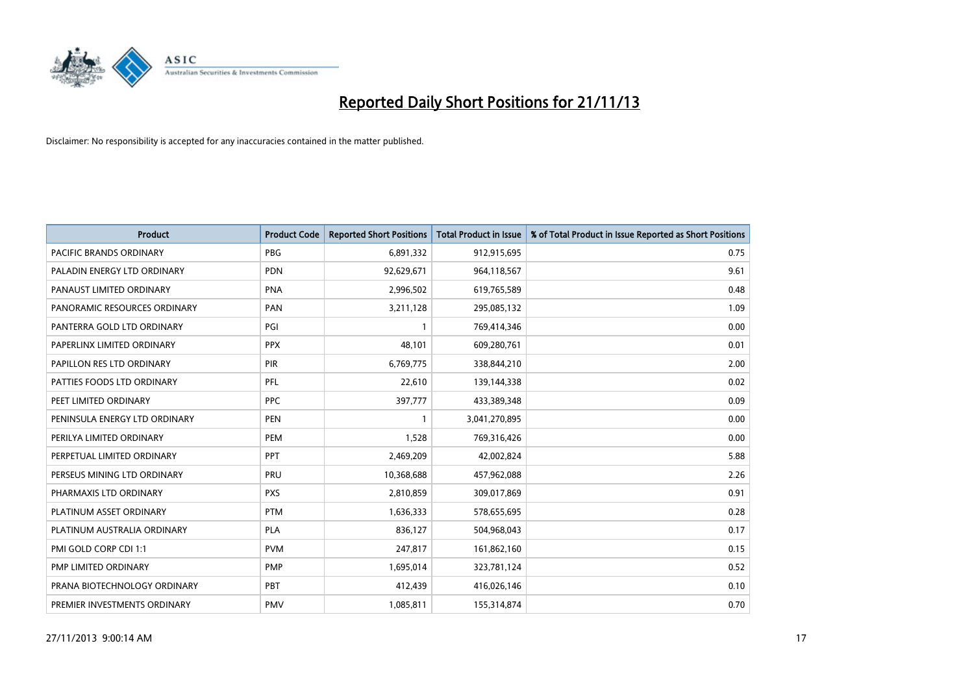

| <b>Product</b>                 | <b>Product Code</b> | <b>Reported Short Positions</b> | <b>Total Product in Issue</b> | % of Total Product in Issue Reported as Short Positions |
|--------------------------------|---------------------|---------------------------------|-------------------------------|---------------------------------------------------------|
| <b>PACIFIC BRANDS ORDINARY</b> | <b>PBG</b>          | 6,891,332                       | 912,915,695                   | 0.75                                                    |
| PALADIN ENERGY LTD ORDINARY    | <b>PDN</b>          | 92,629,671                      | 964,118,567                   | 9.61                                                    |
| PANAUST LIMITED ORDINARY       | <b>PNA</b>          | 2,996,502                       | 619,765,589                   | 0.48                                                    |
| PANORAMIC RESOURCES ORDINARY   | <b>PAN</b>          | 3,211,128                       | 295,085,132                   | 1.09                                                    |
| PANTERRA GOLD LTD ORDINARY     | PGI                 | $\mathbf{1}$                    | 769,414,346                   | 0.00                                                    |
| PAPERLINX LIMITED ORDINARY     | <b>PPX</b>          | 48,101                          | 609,280,761                   | 0.01                                                    |
| PAPILLON RES LTD ORDINARY      | <b>PIR</b>          | 6,769,775                       | 338,844,210                   | 2.00                                                    |
| PATTIES FOODS LTD ORDINARY     | PFL                 | 22,610                          | 139,144,338                   | 0.02                                                    |
| PEET LIMITED ORDINARY          | <b>PPC</b>          | 397,777                         | 433,389,348                   | 0.09                                                    |
| PENINSULA ENERGY LTD ORDINARY  | <b>PEN</b>          | $\mathbf{1}$                    | 3,041,270,895                 | 0.00                                                    |
| PERILYA LIMITED ORDINARY       | PEM                 | 1,528                           | 769,316,426                   | 0.00                                                    |
| PERPETUAL LIMITED ORDINARY     | PPT                 | 2,469,209                       | 42,002,824                    | 5.88                                                    |
| PERSEUS MINING LTD ORDINARY    | PRU                 | 10,368,688                      | 457,962,088                   | 2.26                                                    |
| PHARMAXIS LTD ORDINARY         | <b>PXS</b>          | 2,810,859                       | 309,017,869                   | 0.91                                                    |
| PLATINUM ASSET ORDINARY        | <b>PTM</b>          | 1,636,333                       | 578,655,695                   | 0.28                                                    |
| PLATINUM AUSTRALIA ORDINARY    | <b>PLA</b>          | 836,127                         | 504,968,043                   | 0.17                                                    |
| PMI GOLD CORP CDI 1:1          | <b>PVM</b>          | 247,817                         | 161,862,160                   | 0.15                                                    |
| PMP LIMITED ORDINARY           | <b>PMP</b>          | 1,695,014                       | 323,781,124                   | 0.52                                                    |
| PRANA BIOTECHNOLOGY ORDINARY   | <b>PBT</b>          | 412,439                         | 416,026,146                   | 0.10                                                    |
| PREMIER INVESTMENTS ORDINARY   | <b>PMV</b>          | 1,085,811                       | 155,314,874                   | 0.70                                                    |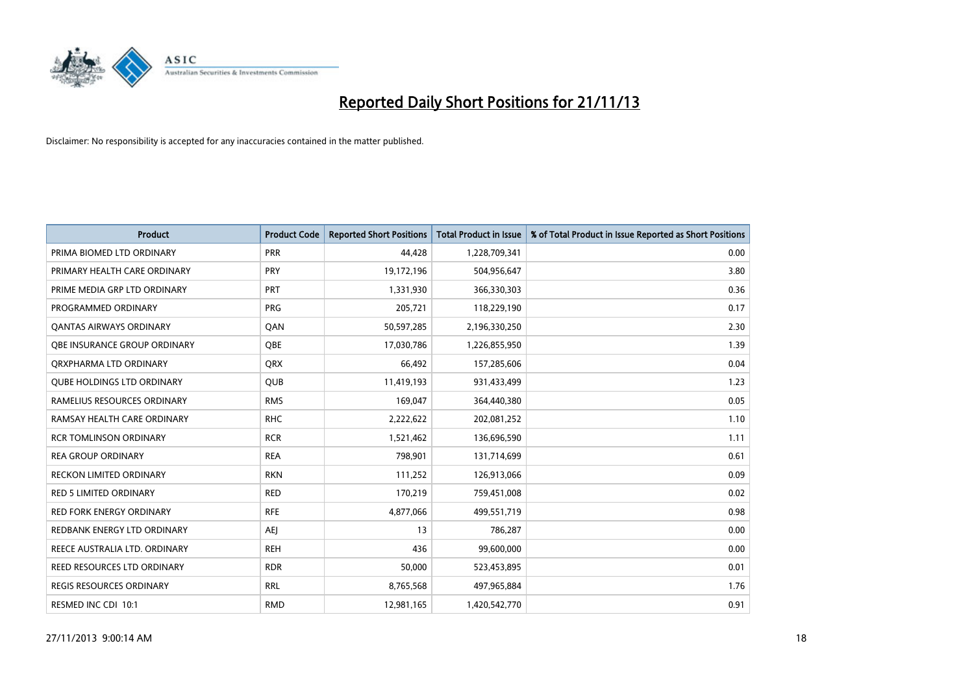

| <b>Product</b>                    | <b>Product Code</b> | <b>Reported Short Positions</b> | <b>Total Product in Issue</b> | % of Total Product in Issue Reported as Short Positions |
|-----------------------------------|---------------------|---------------------------------|-------------------------------|---------------------------------------------------------|
| PRIMA BIOMED LTD ORDINARY         | <b>PRR</b>          | 44,428                          | 1,228,709,341                 | 0.00                                                    |
| PRIMARY HEALTH CARE ORDINARY      | PRY                 | 19,172,196                      | 504,956,647                   | 3.80                                                    |
| PRIME MEDIA GRP LTD ORDINARY      | PRT                 | 1,331,930                       | 366,330,303                   | 0.36                                                    |
| PROGRAMMED ORDINARY               | <b>PRG</b>          | 205,721                         | 118,229,190                   | 0.17                                                    |
| <b>QANTAS AIRWAYS ORDINARY</b>    | QAN                 | 50,597,285                      | 2,196,330,250                 | 2.30                                                    |
| OBE INSURANCE GROUP ORDINARY      | <b>QBE</b>          | 17,030,786                      | 1,226,855,950                 | 1.39                                                    |
| ORXPHARMA LTD ORDINARY            | <b>QRX</b>          | 66,492                          | 157,285,606                   | 0.04                                                    |
| <b>QUBE HOLDINGS LTD ORDINARY</b> | <b>QUB</b>          | 11,419,193                      | 931,433,499                   | 1.23                                                    |
| RAMELIUS RESOURCES ORDINARY       | <b>RMS</b>          | 169,047                         | 364,440,380                   | 0.05                                                    |
| RAMSAY HEALTH CARE ORDINARY       | <b>RHC</b>          | 2,222,622                       | 202,081,252                   | 1.10                                                    |
| <b>RCR TOMLINSON ORDINARY</b>     | <b>RCR</b>          | 1,521,462                       | 136,696,590                   | 1.11                                                    |
| <b>REA GROUP ORDINARY</b>         | <b>REA</b>          | 798,901                         | 131,714,699                   | 0.61                                                    |
| <b>RECKON LIMITED ORDINARY</b>    | <b>RKN</b>          | 111,252                         | 126,913,066                   | 0.09                                                    |
| <b>RED 5 LIMITED ORDINARY</b>     | <b>RED</b>          | 170,219                         | 759,451,008                   | 0.02                                                    |
| <b>RED FORK ENERGY ORDINARY</b>   | <b>RFE</b>          | 4,877,066                       | 499,551,719                   | 0.98                                                    |
| REDBANK ENERGY LTD ORDINARY       | AEJ                 | 13                              | 786,287                       | 0.00                                                    |
| REECE AUSTRALIA LTD. ORDINARY     | <b>REH</b>          | 436                             | 99,600,000                    | 0.00                                                    |
| REED RESOURCES LTD ORDINARY       | <b>RDR</b>          | 50.000                          | 523,453,895                   | 0.01                                                    |
| <b>REGIS RESOURCES ORDINARY</b>   | <b>RRL</b>          | 8,765,568                       | 497,965,884                   | 1.76                                                    |
| RESMED INC CDI 10:1               | <b>RMD</b>          | 12,981,165                      | 1,420,542,770                 | 0.91                                                    |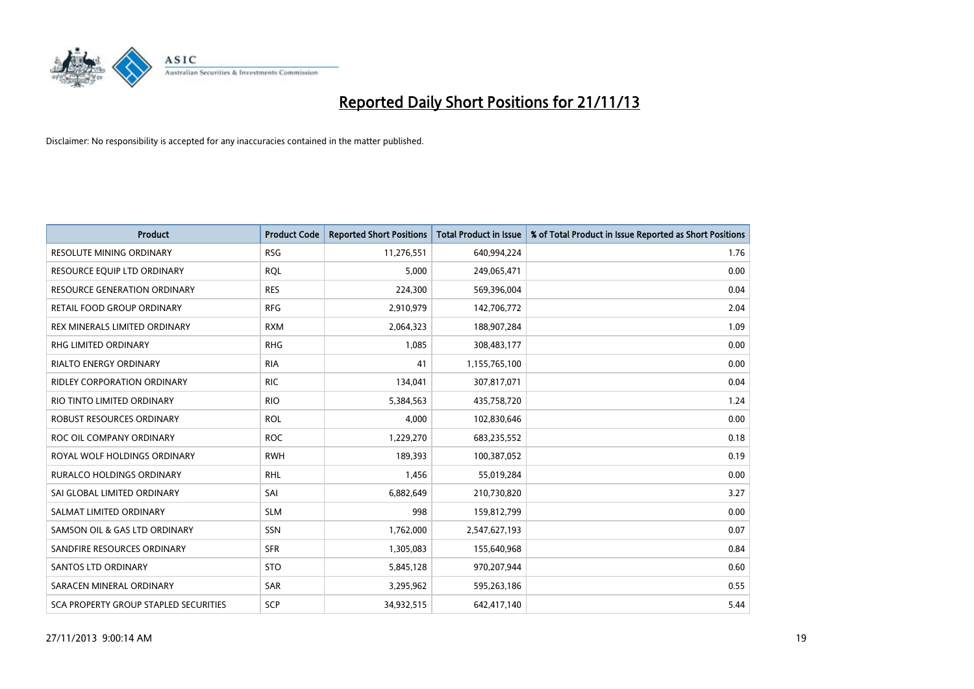

| Product                               | <b>Product Code</b> | <b>Reported Short Positions</b> | <b>Total Product in Issue</b> | % of Total Product in Issue Reported as Short Positions |
|---------------------------------------|---------------------|---------------------------------|-------------------------------|---------------------------------------------------------|
| <b>RESOLUTE MINING ORDINARY</b>       | <b>RSG</b>          | 11,276,551                      | 640,994,224                   | 1.76                                                    |
| RESOURCE EQUIP LTD ORDINARY           | <b>RQL</b>          | 5,000                           | 249,065,471                   | 0.00                                                    |
| <b>RESOURCE GENERATION ORDINARY</b>   | <b>RES</b>          | 224,300                         | 569,396,004                   | 0.04                                                    |
| RETAIL FOOD GROUP ORDINARY            | <b>RFG</b>          | 2,910,979                       | 142,706,772                   | 2.04                                                    |
| REX MINERALS LIMITED ORDINARY         | <b>RXM</b>          | 2,064,323                       | 188,907,284                   | 1.09                                                    |
| RHG LIMITED ORDINARY                  | <b>RHG</b>          | 1,085                           | 308,483,177                   | 0.00                                                    |
| <b>RIALTO ENERGY ORDINARY</b>         | <b>RIA</b>          | 41                              | 1,155,765,100                 | 0.00                                                    |
| <b>RIDLEY CORPORATION ORDINARY</b>    | <b>RIC</b>          | 134,041                         | 307,817,071                   | 0.04                                                    |
| RIO TINTO LIMITED ORDINARY            | <b>RIO</b>          | 5,384,563                       | 435,758,720                   | 1.24                                                    |
| <b>ROBUST RESOURCES ORDINARY</b>      | <b>ROL</b>          | 4,000                           | 102,830,646                   | 0.00                                                    |
| ROC OIL COMPANY ORDINARY              | <b>ROC</b>          | 1,229,270                       | 683,235,552                   | 0.18                                                    |
| ROYAL WOLF HOLDINGS ORDINARY          | <b>RWH</b>          | 189,393                         | 100,387,052                   | 0.19                                                    |
| RURALCO HOLDINGS ORDINARY             | <b>RHL</b>          | 1,456                           | 55,019,284                    | 0.00                                                    |
| SAI GLOBAL LIMITED ORDINARY           | SAI                 | 6,882,649                       | 210,730,820                   | 3.27                                                    |
| SALMAT LIMITED ORDINARY               | <b>SLM</b>          | 998                             | 159,812,799                   | 0.00                                                    |
| SAMSON OIL & GAS LTD ORDINARY         | SSN                 | 1,762,000                       | 2,547,627,193                 | 0.07                                                    |
| SANDFIRE RESOURCES ORDINARY           | <b>SFR</b>          | 1,305,083                       | 155,640,968                   | 0.84                                                    |
| <b>SANTOS LTD ORDINARY</b>            | <b>STO</b>          | 5,845,128                       | 970,207,944                   | 0.60                                                    |
| SARACEN MINERAL ORDINARY              | <b>SAR</b>          | 3,295,962                       | 595,263,186                   | 0.55                                                    |
| SCA PROPERTY GROUP STAPLED SECURITIES | SCP                 | 34,932,515                      | 642,417,140                   | 5.44                                                    |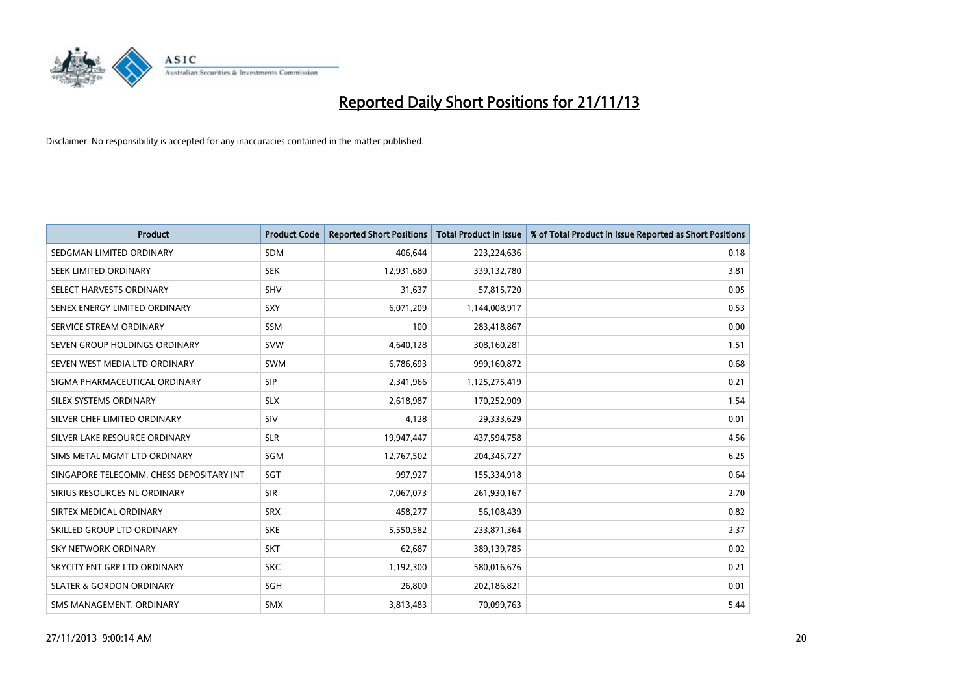

| <b>Product</b>                           | <b>Product Code</b> | <b>Reported Short Positions</b> | <b>Total Product in Issue</b> | % of Total Product in Issue Reported as Short Positions |
|------------------------------------------|---------------------|---------------------------------|-------------------------------|---------------------------------------------------------|
| SEDGMAN LIMITED ORDINARY                 | <b>SDM</b>          | 406,644                         | 223,224,636                   | 0.18                                                    |
| SEEK LIMITED ORDINARY                    | <b>SEK</b>          | 12,931,680                      | 339,132,780                   | 3.81                                                    |
| SELECT HARVESTS ORDINARY                 | <b>SHV</b>          | 31,637                          | 57,815,720                    | 0.05                                                    |
| SENEX ENERGY LIMITED ORDINARY            | <b>SXY</b>          | 6,071,209                       | 1,144,008,917                 | 0.53                                                    |
| SERVICE STREAM ORDINARY                  | <b>SSM</b>          | 100                             | 283,418,867                   | 0.00                                                    |
| SEVEN GROUP HOLDINGS ORDINARY            | <b>SVW</b>          | 4,640,128                       | 308,160,281                   | 1.51                                                    |
| SEVEN WEST MEDIA LTD ORDINARY            | <b>SWM</b>          | 6,786,693                       | 999,160,872                   | 0.68                                                    |
| SIGMA PHARMACEUTICAL ORDINARY            | <b>SIP</b>          | 2,341,966                       | 1,125,275,419                 | 0.21                                                    |
| SILEX SYSTEMS ORDINARY                   | <b>SLX</b>          | 2,618,987                       | 170,252,909                   | 1.54                                                    |
| SILVER CHEF LIMITED ORDINARY             | SIV                 | 4,128                           | 29,333,629                    | 0.01                                                    |
| SILVER LAKE RESOURCE ORDINARY            | <b>SLR</b>          | 19,947,447                      | 437,594,758                   | 4.56                                                    |
| SIMS METAL MGMT LTD ORDINARY             | <b>SGM</b>          | 12,767,502                      | 204,345,727                   | 6.25                                                    |
| SINGAPORE TELECOMM. CHESS DEPOSITARY INT | SGT                 | 997,927                         | 155,334,918                   | 0.64                                                    |
| SIRIUS RESOURCES NL ORDINARY             | <b>SIR</b>          | 7,067,073                       | 261,930,167                   | 2.70                                                    |
| SIRTEX MEDICAL ORDINARY                  | <b>SRX</b>          | 458,277                         | 56,108,439                    | 0.82                                                    |
| SKILLED GROUP LTD ORDINARY               | <b>SKE</b>          | 5,550,582                       | 233,871,364                   | 2.37                                                    |
| SKY NETWORK ORDINARY                     | <b>SKT</b>          | 62,687                          | 389,139,785                   | 0.02                                                    |
| SKYCITY ENT GRP LTD ORDINARY             | <b>SKC</b>          | 1,192,300                       | 580,016,676                   | 0.21                                                    |
| <b>SLATER &amp; GORDON ORDINARY</b>      | <b>SGH</b>          | 26,800                          | 202,186,821                   | 0.01                                                    |
| SMS MANAGEMENT, ORDINARY                 | <b>SMX</b>          | 3,813,483                       | 70,099,763                    | 5.44                                                    |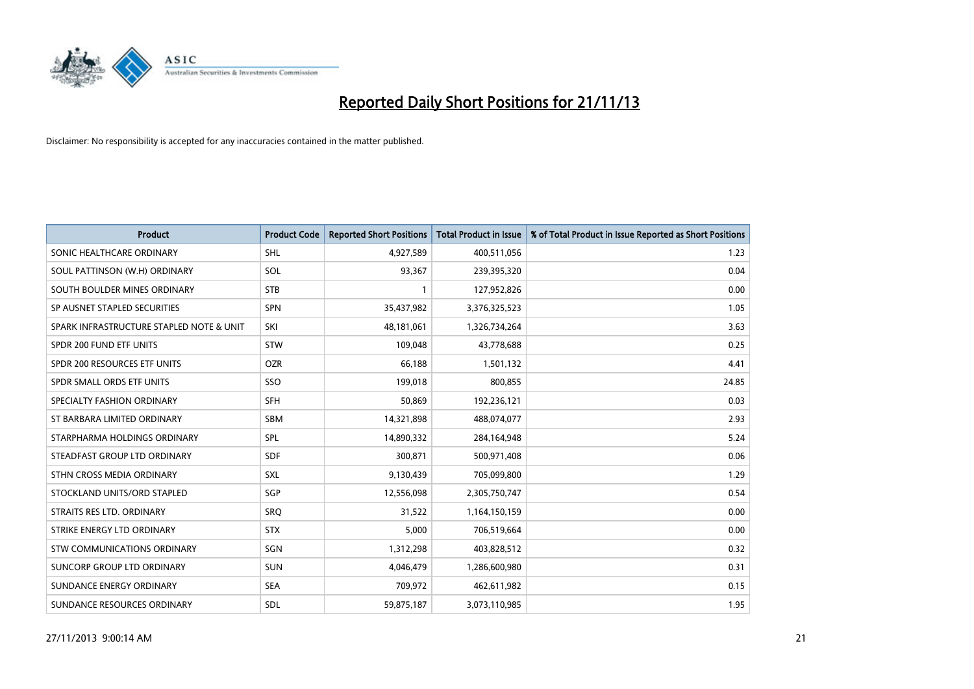

| <b>Product</b>                           | <b>Product Code</b> | <b>Reported Short Positions</b> | <b>Total Product in Issue</b> | % of Total Product in Issue Reported as Short Positions |
|------------------------------------------|---------------------|---------------------------------|-------------------------------|---------------------------------------------------------|
| SONIC HEALTHCARE ORDINARY                | <b>SHL</b>          | 4,927,589                       | 400,511,056                   | 1.23                                                    |
| SOUL PATTINSON (W.H) ORDINARY            | <b>SOL</b>          | 93,367                          | 239,395,320                   | 0.04                                                    |
| SOUTH BOULDER MINES ORDINARY             | <b>STB</b>          | 1                               | 127,952,826                   | 0.00                                                    |
| SP AUSNET STAPLED SECURITIES             | <b>SPN</b>          | 35,437,982                      | 3,376,325,523                 | 1.05                                                    |
| SPARK INFRASTRUCTURE STAPLED NOTE & UNIT | SKI                 | 48,181,061                      | 1,326,734,264                 | 3.63                                                    |
| SPDR 200 FUND ETF UNITS                  | <b>STW</b>          | 109,048                         | 43,778,688                    | 0.25                                                    |
| SPDR 200 RESOURCES ETF UNITS             | <b>OZR</b>          | 66.188                          | 1,501,132                     | 4.41                                                    |
| SPDR SMALL ORDS ETF UNITS                | SSO                 | 199,018                         | 800,855                       | 24.85                                                   |
| SPECIALTY FASHION ORDINARY               | SFH                 | 50,869                          | 192,236,121                   | 0.03                                                    |
| ST BARBARA LIMITED ORDINARY              | SBM                 | 14,321,898                      | 488,074,077                   | 2.93                                                    |
| STARPHARMA HOLDINGS ORDINARY             | SPL                 | 14,890,332                      | 284,164,948                   | 5.24                                                    |
| STEADFAST GROUP LTD ORDINARY             | <b>SDF</b>          | 300,871                         | 500,971,408                   | 0.06                                                    |
| STHN CROSS MEDIA ORDINARY                | <b>SXL</b>          | 9,130,439                       | 705,099,800                   | 1.29                                                    |
| STOCKLAND UNITS/ORD STAPLED              | SGP                 | 12,556,098                      | 2,305,750,747                 | 0.54                                                    |
| STRAITS RES LTD. ORDINARY                | SRQ                 | 31,522                          | 1,164,150,159                 | 0.00                                                    |
| STRIKE ENERGY LTD ORDINARY               | <b>STX</b>          | 5,000                           | 706,519,664                   | 0.00                                                    |
| STW COMMUNICATIONS ORDINARY              | SGN                 | 1,312,298                       | 403,828,512                   | 0.32                                                    |
| SUNCORP GROUP LTD ORDINARY               | <b>SUN</b>          | 4,046,479                       | 1,286,600,980                 | 0.31                                                    |
| SUNDANCE ENERGY ORDINARY                 | <b>SEA</b>          | 709,972                         | 462,611,982                   | 0.15                                                    |
| SUNDANCE RESOURCES ORDINARY              | <b>SDL</b>          | 59,875,187                      | 3,073,110,985                 | 1.95                                                    |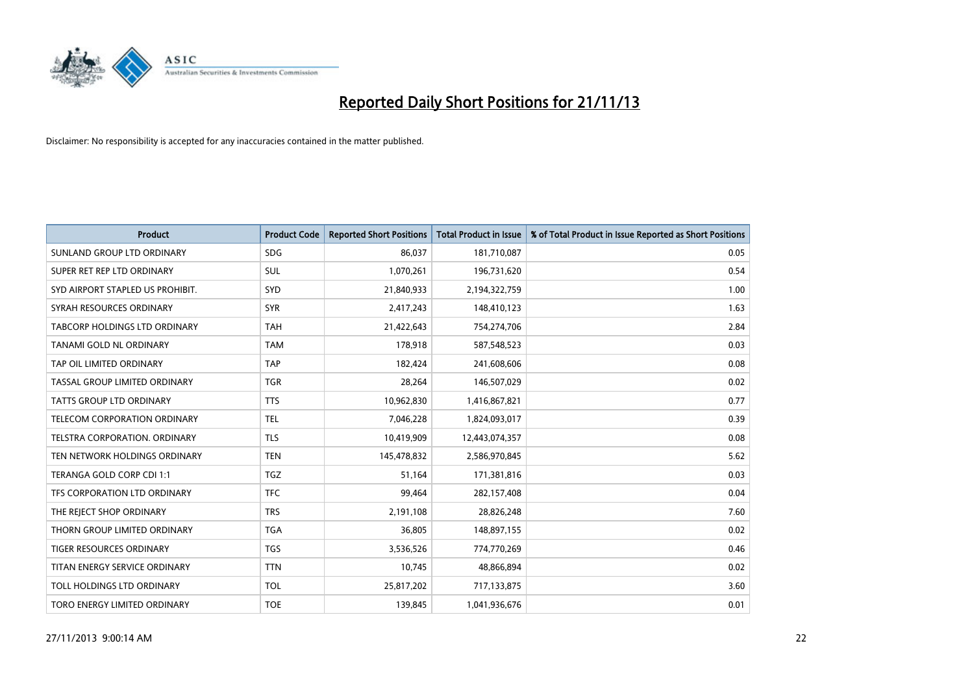

| <b>Product</b>                   | <b>Product Code</b> | <b>Reported Short Positions</b> | <b>Total Product in Issue</b> | % of Total Product in Issue Reported as Short Positions |
|----------------------------------|---------------------|---------------------------------|-------------------------------|---------------------------------------------------------|
| SUNLAND GROUP LTD ORDINARY       | <b>SDG</b>          | 86,037                          | 181,710,087                   | 0.05                                                    |
| SUPER RET REP LTD ORDINARY       | SUL                 | 1,070,261                       | 196,731,620                   | 0.54                                                    |
| SYD AIRPORT STAPLED US PROHIBIT. | SYD                 | 21,840,933                      | 2,194,322,759                 | 1.00                                                    |
| SYRAH RESOURCES ORDINARY         | <b>SYR</b>          | 2,417,243                       | 148,410,123                   | 1.63                                                    |
| TABCORP HOLDINGS LTD ORDINARY    | <b>TAH</b>          | 21,422,643                      | 754,274,706                   | 2.84                                                    |
| TANAMI GOLD NL ORDINARY          | <b>TAM</b>          | 178,918                         | 587,548,523                   | 0.03                                                    |
| TAP OIL LIMITED ORDINARY         | <b>TAP</b>          | 182,424                         | 241,608,606                   | 0.08                                                    |
| TASSAL GROUP LIMITED ORDINARY    | <b>TGR</b>          | 28,264                          | 146,507,029                   | 0.02                                                    |
| <b>TATTS GROUP LTD ORDINARY</b>  | <b>TTS</b>          | 10,962,830                      | 1,416,867,821                 | 0.77                                                    |
| TELECOM CORPORATION ORDINARY     | <b>TEL</b>          | 7,046,228                       | 1,824,093,017                 | 0.39                                                    |
| TELSTRA CORPORATION. ORDINARY    | <b>TLS</b>          | 10,419,909                      | 12,443,074,357                | 0.08                                                    |
| TEN NETWORK HOLDINGS ORDINARY    | <b>TEN</b>          | 145,478,832                     | 2,586,970,845                 | 5.62                                                    |
| TERANGA GOLD CORP CDI 1:1        | <b>TGZ</b>          | 51,164                          | 171,381,816                   | 0.03                                                    |
| TFS CORPORATION LTD ORDINARY     | <b>TFC</b>          | 99,464                          | 282,157,408                   | 0.04                                                    |
| THE REJECT SHOP ORDINARY         | <b>TRS</b>          | 2,191,108                       | 28,826,248                    | 7.60                                                    |
| THORN GROUP LIMITED ORDINARY     | <b>TGA</b>          | 36,805                          | 148,897,155                   | 0.02                                                    |
| TIGER RESOURCES ORDINARY         | <b>TGS</b>          | 3,536,526                       | 774,770,269                   | 0.46                                                    |
| TITAN ENERGY SERVICE ORDINARY    | <b>TTN</b>          | 10,745                          | 48,866,894                    | 0.02                                                    |
| TOLL HOLDINGS LTD ORDINARY       | <b>TOL</b>          | 25,817,202                      | 717,133,875                   | 3.60                                                    |
| TORO ENERGY LIMITED ORDINARY     | <b>TOE</b>          | 139,845                         | 1,041,936,676                 | 0.01                                                    |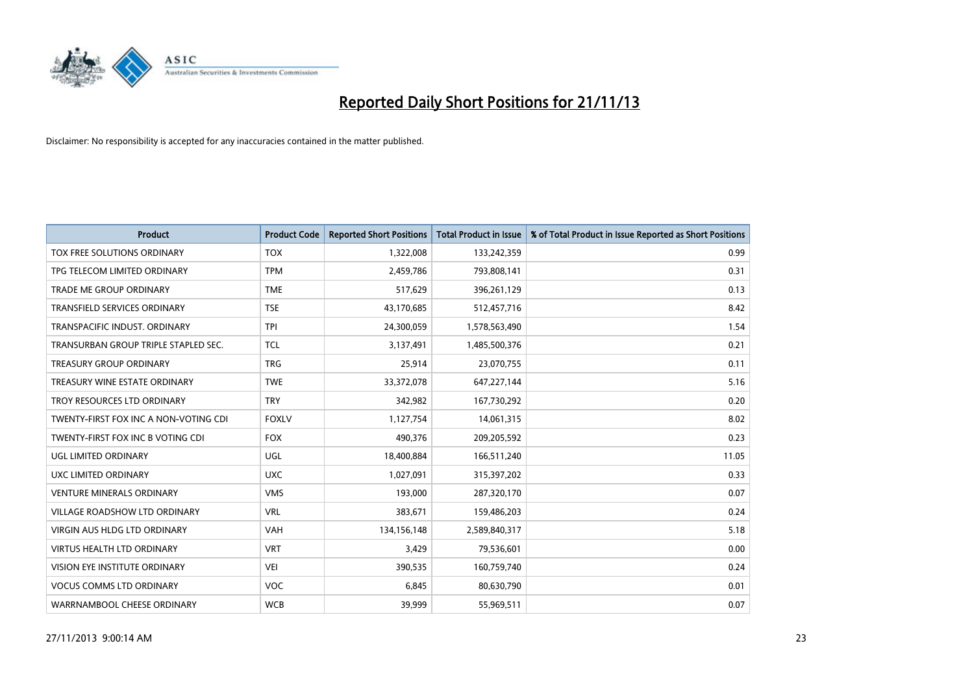

| <b>Product</b>                        | <b>Product Code</b> | <b>Reported Short Positions</b> | <b>Total Product in Issue</b> | % of Total Product in Issue Reported as Short Positions |
|---------------------------------------|---------------------|---------------------------------|-------------------------------|---------------------------------------------------------|
| TOX FREE SOLUTIONS ORDINARY           | <b>TOX</b>          | 1,322,008                       | 133,242,359                   | 0.99                                                    |
| TPG TELECOM LIMITED ORDINARY          | <b>TPM</b>          | 2,459,786                       | 793,808,141                   | 0.31                                                    |
| <b>TRADE ME GROUP ORDINARY</b>        | <b>TME</b>          | 517,629                         | 396,261,129                   | 0.13                                                    |
| <b>TRANSFIELD SERVICES ORDINARY</b>   | <b>TSE</b>          | 43,170,685                      | 512,457,716                   | 8.42                                                    |
| TRANSPACIFIC INDUST, ORDINARY         | <b>TPI</b>          | 24,300,059                      | 1,578,563,490                 | 1.54                                                    |
| TRANSURBAN GROUP TRIPLE STAPLED SEC.  | <b>TCL</b>          | 3,137,491                       | 1,485,500,376                 | 0.21                                                    |
| TREASURY GROUP ORDINARY               | <b>TRG</b>          | 25,914                          | 23,070,755                    | 0.11                                                    |
| TREASURY WINE ESTATE ORDINARY         | <b>TWE</b>          | 33,372,078                      | 647,227,144                   | 5.16                                                    |
| TROY RESOURCES LTD ORDINARY           | <b>TRY</b>          | 342,982                         | 167,730,292                   | 0.20                                                    |
| TWENTY-FIRST FOX INC A NON-VOTING CDI | <b>FOXLV</b>        | 1,127,754                       | 14,061,315                    | 8.02                                                    |
| TWENTY-FIRST FOX INC B VOTING CDI     | <b>FOX</b>          | 490,376                         | 209,205,592                   | 0.23                                                    |
| UGL LIMITED ORDINARY                  | UGL                 | 18,400,884                      | 166,511,240                   | 11.05                                                   |
| UXC LIMITED ORDINARY                  | <b>UXC</b>          | 1,027,091                       | 315,397,202                   | 0.33                                                    |
| <b>VENTURE MINERALS ORDINARY</b>      | <b>VMS</b>          | 193,000                         | 287,320,170                   | 0.07                                                    |
| VILLAGE ROADSHOW LTD ORDINARY         | <b>VRL</b>          | 383,671                         | 159,486,203                   | 0.24                                                    |
| <b>VIRGIN AUS HLDG LTD ORDINARY</b>   | <b>VAH</b>          | 134,156,148                     | 2,589,840,317                 | 5.18                                                    |
| VIRTUS HEALTH LTD ORDINARY            | <b>VRT</b>          | 3,429                           | 79,536,601                    | 0.00                                                    |
| VISION EYE INSTITUTE ORDINARY         | <b>VEI</b>          | 390,535                         | 160,759,740                   | 0.24                                                    |
| <b>VOCUS COMMS LTD ORDINARY</b>       | <b>VOC</b>          | 6,845                           | 80,630,790                    | 0.01                                                    |
| WARRNAMBOOL CHEESE ORDINARY           | <b>WCB</b>          | 39,999                          | 55,969,511                    | 0.07                                                    |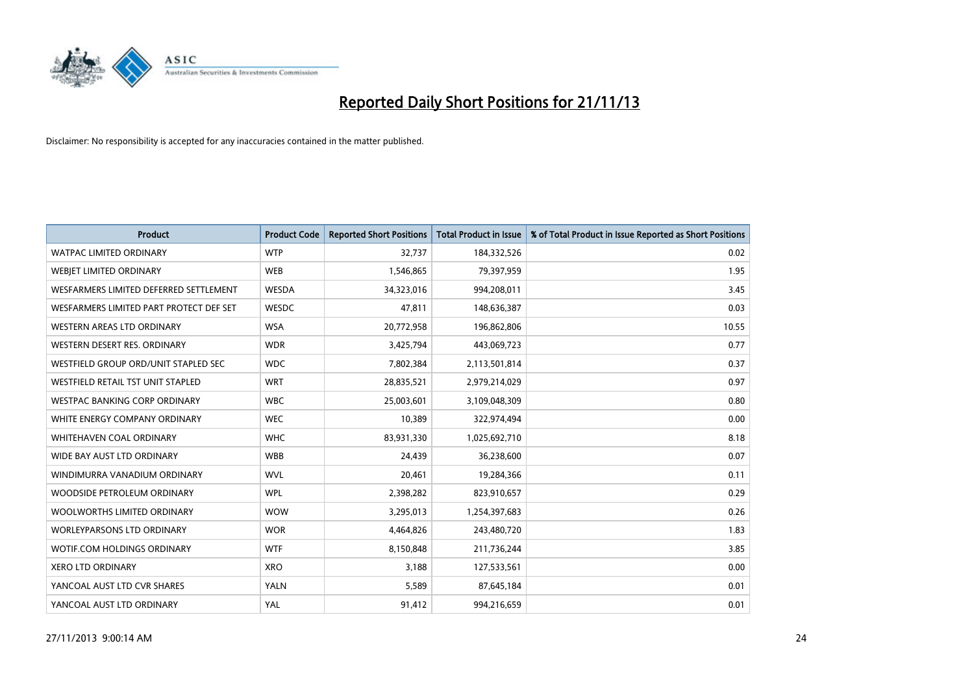

| <b>Product</b>                           | <b>Product Code</b> | <b>Reported Short Positions</b> | <b>Total Product in Issue</b> | % of Total Product in Issue Reported as Short Positions |
|------------------------------------------|---------------------|---------------------------------|-------------------------------|---------------------------------------------------------|
| <b>WATPAC LIMITED ORDINARY</b>           | <b>WTP</b>          | 32,737                          | 184,332,526                   | 0.02                                                    |
| WEBJET LIMITED ORDINARY                  | <b>WEB</b>          | 1,546,865                       | 79,397,959                    | 1.95                                                    |
| WESFARMERS LIMITED DEFERRED SETTLEMENT   | WESDA               | 34,323,016                      | 994,208,011                   | 3.45                                                    |
| WESFARMERS LIMITED PART PROTECT DEF SET  | WESDC               | 47,811                          | 148,636,387                   | 0.03                                                    |
| WESTERN AREAS LTD ORDINARY               | <b>WSA</b>          | 20,772,958                      | 196,862,806                   | 10.55                                                   |
| WESTERN DESERT RES. ORDINARY             | <b>WDR</b>          | 3,425,794                       | 443,069,723                   | 0.77                                                    |
| WESTFIELD GROUP ORD/UNIT STAPLED SEC     | <b>WDC</b>          | 7,802,384                       | 2,113,501,814                 | 0.37                                                    |
| <b>WESTFIELD RETAIL TST UNIT STAPLED</b> | <b>WRT</b>          | 28,835,521                      | 2,979,214,029                 | 0.97                                                    |
| <b>WESTPAC BANKING CORP ORDINARY</b>     | <b>WBC</b>          | 25,003,601                      | 3,109,048,309                 | 0.80                                                    |
| WHITE ENERGY COMPANY ORDINARY            | <b>WEC</b>          | 10,389                          | 322,974,494                   | 0.00                                                    |
| WHITEHAVEN COAL ORDINARY                 | <b>WHC</b>          | 83,931,330                      | 1,025,692,710                 | 8.18                                                    |
| WIDE BAY AUST LTD ORDINARY               | <b>WBB</b>          | 24,439                          | 36,238,600                    | 0.07                                                    |
| WINDIMURRA VANADIUM ORDINARY             | <b>WVL</b>          | 20,461                          | 19,284,366                    | 0.11                                                    |
| WOODSIDE PETROLEUM ORDINARY              | <b>WPL</b>          | 2,398,282                       | 823,910,657                   | 0.29                                                    |
| WOOLWORTHS LIMITED ORDINARY              | <b>WOW</b>          | 3,295,013                       | 1,254,397,683                 | 0.26                                                    |
| <b>WORLEYPARSONS LTD ORDINARY</b>        | <b>WOR</b>          | 4,464,826                       | 243,480,720                   | 1.83                                                    |
| WOTIF.COM HOLDINGS ORDINARY              | <b>WTF</b>          | 8,150,848                       | 211,736,244                   | 3.85                                                    |
| <b>XERO LTD ORDINARY</b>                 | <b>XRO</b>          | 3,188                           | 127,533,561                   | 0.00                                                    |
| YANCOAL AUST LTD CVR SHARES              | <b>YALN</b>         | 5,589                           | 87,645,184                    | 0.01                                                    |
| YANCOAL AUST LTD ORDINARY                | YAL                 | 91,412                          | 994,216,659                   | 0.01                                                    |